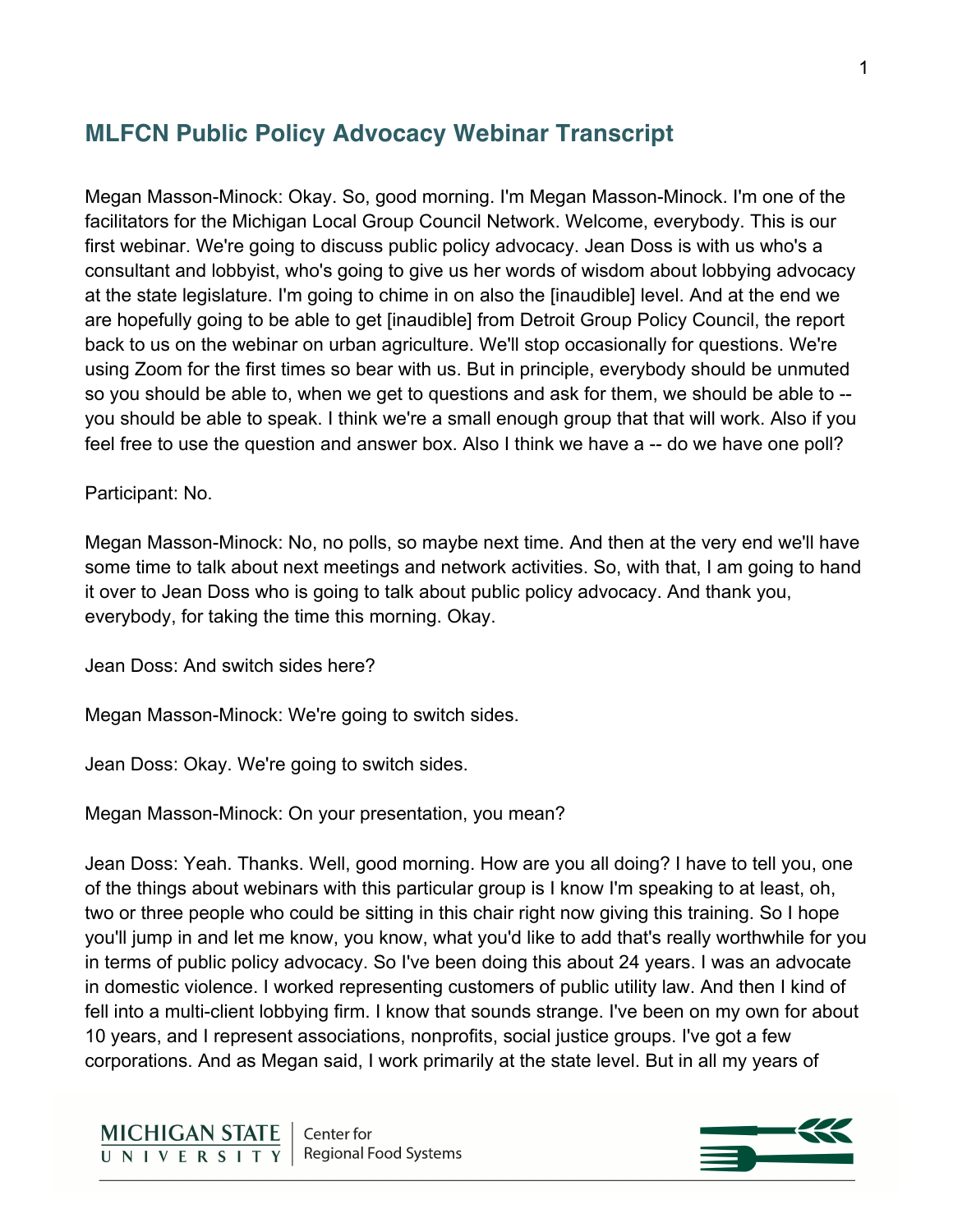# **MLFCN Public Policy Advocacy Webinar Transcript**

Megan Masson-Minock: Okay. So, good morning. I'm Megan Masson-Minock. I'm one of the facilitators for the Michigan Local Group Council Network. Welcome, everybody. This is our first webinar. We're going to discuss public policy advocacy. Jean Doss is with us who's a consultant and lobbyist, who's going to give us her words of wisdom about lobbying advocacy at the state legislature. I'm going to chime in on also the [inaudible] level. And at the end we are hopefully going to be able to get [inaudible] from Detroit Group Policy Council, the report back to us on the webinar on urban agriculture. We'll stop occasionally for questions. We're using Zoom for the first times so bear with us. But in principle, everybody should be unmuted so you should be able to, when we get to questions and ask for them, we should be able to - you should be able to speak. I think we're a small enough group that that will work. Also if you feel free to use the question and answer box. Also I think we have a -- do we have one poll?

#### Participant: No.

Megan Masson-Minock: No, no polls, so maybe next time. And then at the very end we'll have some time to talk about next meetings and network activities. So, with that, I am going to hand it over to Jean Doss who is going to talk about public policy advocacy. And thank you, everybody, for taking the time this morning. Okay.

Jean Doss: And switch sides here?

Megan Masson-Minock: We're going to switch sides.

Jean Doss: Okay. We're going to switch sides.

Megan Masson-Minock: On your presentation, you mean?

Jean Doss: Yeah. Thanks. Well, good morning. How are you all doing? I have to tell you, one of the things about webinars with this particular group is I know I'm speaking to at least, oh, two or three people who could be sitting in this chair right now giving this training. So I hope you'll jump in and let me know, you know, what you'd like to add that's really worthwhile for you in terms of public policy advocacy. So I've been doing this about 24 years. I was an advocate in domestic violence. I worked representing customers of public utility law. And then I kind of fell into a multi-client lobbying firm. I know that sounds strange. I've been on my own for about 10 years, and I represent associations, nonprofits, social justice groups. I've got a few corporations. And as Megan said, I work primarily at the state level. But in all my years of

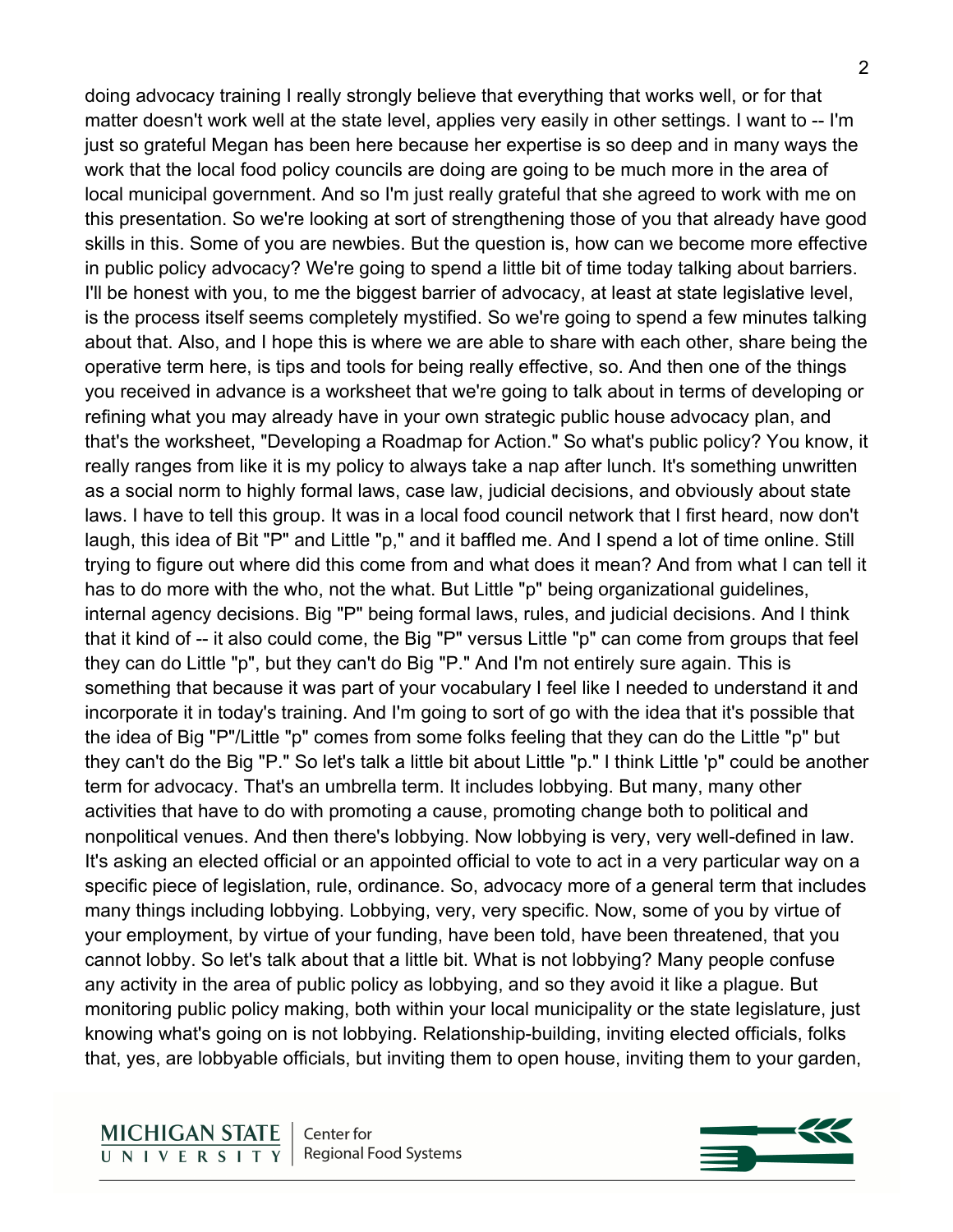doing advocacy training I really strongly believe that everything that works well, or for that matter doesn't work well at the state level, applies very easily in other settings. I want to -- I'm just so grateful Megan has been here because her expertise is so deep and in many ways the work that the local food policy councils are doing are going to be much more in the area of local municipal government. And so I'm just really grateful that she agreed to work with me on this presentation. So we're looking at sort of strengthening those of you that already have good skills in this. Some of you are newbies. But the question is, how can we become more effective in public policy advocacy? We're going to spend a little bit of time today talking about barriers. I'll be honest with you, to me the biggest barrier of advocacy, at least at state legislative level, is the process itself seems completely mystified. So we're going to spend a few minutes talking about that. Also, and I hope this is where we are able to share with each other, share being the operative term here, is tips and tools for being really effective, so. And then one of the things you received in advance is a worksheet that we're going to talk about in terms of developing or refining what you may already have in your own strategic public house advocacy plan, and that's the worksheet, "Developing a Roadmap for Action." So what's public policy? You know, it really ranges from like it is my policy to always take a nap after lunch. It's something unwritten as a social norm to highly formal laws, case law, judicial decisions, and obviously about state laws. I have to tell this group. It was in a local food council network that I first heard, now don't laugh, this idea of Bit "P" and Little "p," and it baffled me. And I spend a lot of time online. Still trying to figure out where did this come from and what does it mean? And from what I can tell it has to do more with the who, not the what. But Little "p" being organizational guidelines, internal agency decisions. Big "P" being formal laws, rules, and judicial decisions. And I think that it kind of -- it also could come, the Big "P" versus Little "p" can come from groups that feel they can do Little "p", but they can't do Big "P." And I'm not entirely sure again. This is something that because it was part of your vocabulary I feel like I needed to understand it and incorporate it in today's training. And I'm going to sort of go with the idea that it's possible that the idea of Big "P"/Little "p" comes from some folks feeling that they can do the Little "p" but they can't do the Big "P." So let's talk a little bit about Little "p." I think Little 'p" could be another term for advocacy. That's an umbrella term. It includes lobbying. But many, many other activities that have to do with promoting a cause, promoting change both to political and nonpolitical venues. And then there's lobbying. Now lobbying is very, very well-defined in law. It's asking an elected official or an appointed official to vote to act in a very particular way on a specific piece of legislation, rule, ordinance. So, advocacy more of a general term that includes many things including lobbying. Lobbying, very, very specific. Now, some of you by virtue of your employment, by virtue of your funding, have been told, have been threatened, that you cannot lobby. So let's talk about that a little bit. What is not lobbying? Many people confuse any activity in the area of public policy as lobbying, and so they avoid it like a plague. But monitoring public policy making, both within your local municipality or the state legislature, just knowing what's going on is not lobbying. Relationship-building, inviting elected officials, folks that, yes, are lobbyable officials, but inviting them to open house, inviting them to your garden,

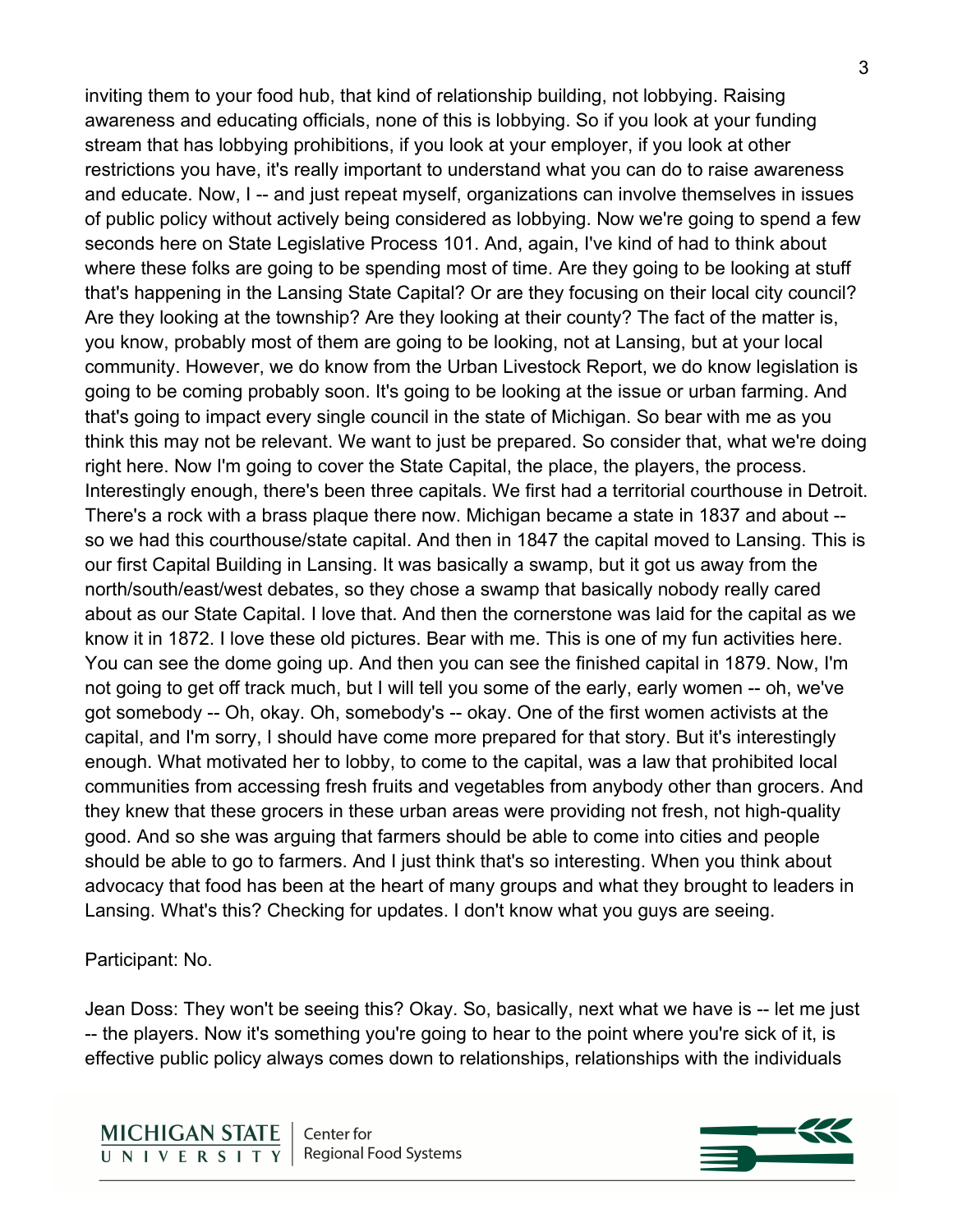inviting them to your food hub, that kind of relationship building, not lobbying. Raising awareness and educating officials, none of this is lobbying. So if you look at your funding stream that has lobbying prohibitions, if you look at your employer, if you look at other restrictions you have, it's really important to understand what you can do to raise awareness and educate. Now, I -- and just repeat myself, organizations can involve themselves in issues of public policy without actively being considered as lobbying. Now we're going to spend a few seconds here on State Legislative Process 101. And, again, I've kind of had to think about where these folks are going to be spending most of time. Are they going to be looking at stuff that's happening in the Lansing State Capital? Or are they focusing on their local city council? Are they looking at the township? Are they looking at their county? The fact of the matter is, you know, probably most of them are going to be looking, not at Lansing, but at your local community. However, we do know from the Urban Livestock Report, we do know legislation is going to be coming probably soon. It's going to be looking at the issue or urban farming. And that's going to impact every single council in the state of Michigan. So bear with me as you think this may not be relevant. We want to just be prepared. So consider that, what we're doing right here. Now I'm going to cover the State Capital, the place, the players, the process. Interestingly enough, there's been three capitals. We first had a territorial courthouse in Detroit. There's a rock with a brass plaque there now. Michigan became a state in 1837 and about - so we had this courthouse/state capital. And then in 1847 the capital moved to Lansing. This is our first Capital Building in Lansing. It was basically a swamp, but it got us away from the north/south/east/west debates, so they chose a swamp that basically nobody really cared about as our State Capital. I love that. And then the cornerstone was laid for the capital as we know it in 1872. I love these old pictures. Bear with me. This is one of my fun activities here. You can see the dome going up. And then you can see the finished capital in 1879. Now, I'm not going to get off track much, but I will tell you some of the early, early women -- oh, we've got somebody -- Oh, okay. Oh, somebody's -- okay. One of the first women activists at the capital, and I'm sorry, I should have come more prepared for that story. But it's interestingly enough. What motivated her to lobby, to come to the capital, was a law that prohibited local communities from accessing fresh fruits and vegetables from anybody other than grocers. And they knew that these grocers in these urban areas were providing not fresh, not high-quality good. And so she was arguing that farmers should be able to come into cities and people should be able to go to farmers. And I just think that's so interesting. When you think about advocacy that food has been at the heart of many groups and what they brought to leaders in Lansing. What's this? Checking for updates. I don't know what you guys are seeing.

Participant: No.

Jean Doss: They won't be seeing this? Okay. So, basically, next what we have is -- let me just -- the players. Now it's something you're going to hear to the point where you're sick of it, is effective public policy always comes down to relationships, relationships with the individuals

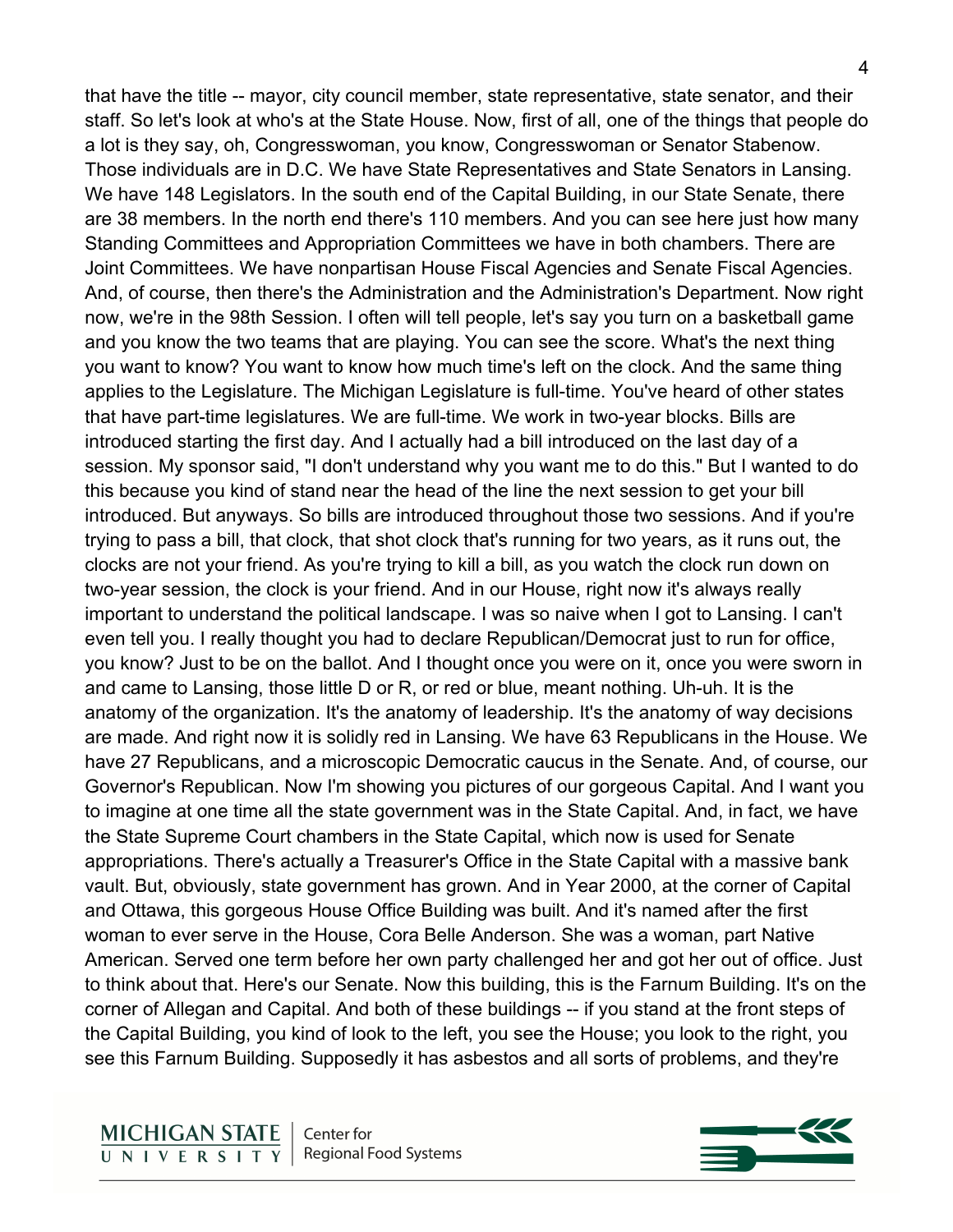that have the title -- mayor, city council member, state representative, state senator, and their staff. So let's look at who's at the State House. Now, first of all, one of the things that people do a lot is they say, oh, Congresswoman, you know, Congresswoman or Senator Stabenow. Those individuals are in D.C. We have State Representatives and State Senators in Lansing. We have 148 Legislators. In the south end of the Capital Building, in our State Senate, there are 38 members. In the north end there's 110 members. And you can see here just how many Standing Committees and Appropriation Committees we have in both chambers. There are Joint Committees. We have nonpartisan House Fiscal Agencies and Senate Fiscal Agencies. And, of course, then there's the Administration and the Administration's Department. Now right now, we're in the 98th Session. I often will tell people, let's say you turn on a basketball game and you know the two teams that are playing. You can see the score. What's the next thing you want to know? You want to know how much time's left on the clock. And the same thing applies to the Legislature. The Michigan Legislature is full-time. You've heard of other states that have part-time legislatures. We are full-time. We work in two-year blocks. Bills are introduced starting the first day. And I actually had a bill introduced on the last day of a session. My sponsor said, "I don't understand why you want me to do this." But I wanted to do this because you kind of stand near the head of the line the next session to get your bill introduced. But anyways. So bills are introduced throughout those two sessions. And if you're trying to pass a bill, that clock, that shot clock that's running for two years, as it runs out, the clocks are not your friend. As you're trying to kill a bill, as you watch the clock run down on two-year session, the clock is your friend. And in our House, right now it's always really important to understand the political landscape. I was so naive when I got to Lansing. I can't even tell you. I really thought you had to declare Republican/Democrat just to run for office, you know? Just to be on the ballot. And I thought once you were on it, once you were sworn in and came to Lansing, those little D or R, or red or blue, meant nothing. Uh-uh. It is the anatomy of the organization. It's the anatomy of leadership. It's the anatomy of way decisions are made. And right now it is solidly red in Lansing. We have 63 Republicans in the House. We have 27 Republicans, and a microscopic Democratic caucus in the Senate. And, of course, our Governor's Republican. Now I'm showing you pictures of our gorgeous Capital. And I want you to imagine at one time all the state government was in the State Capital. And, in fact, we have the State Supreme Court chambers in the State Capital, which now is used for Senate appropriations. There's actually a Treasurer's Office in the State Capital with a massive bank vault. But, obviously, state government has grown. And in Year 2000, at the corner of Capital and Ottawa, this gorgeous House Office Building was built. And it's named after the first woman to ever serve in the House, Cora Belle Anderson. She was a woman, part Native American. Served one term before her own party challenged her and got her out of office. Just to think about that. Here's our Senate. Now this building, this is the Farnum Building. It's on the corner of Allegan and Capital. And both of these buildings -- if you stand at the front steps of the Capital Building, you kind of look to the left, you see the House; you look to the right, you see this Farnum Building. Supposedly it has asbestos and all sorts of problems, and they're

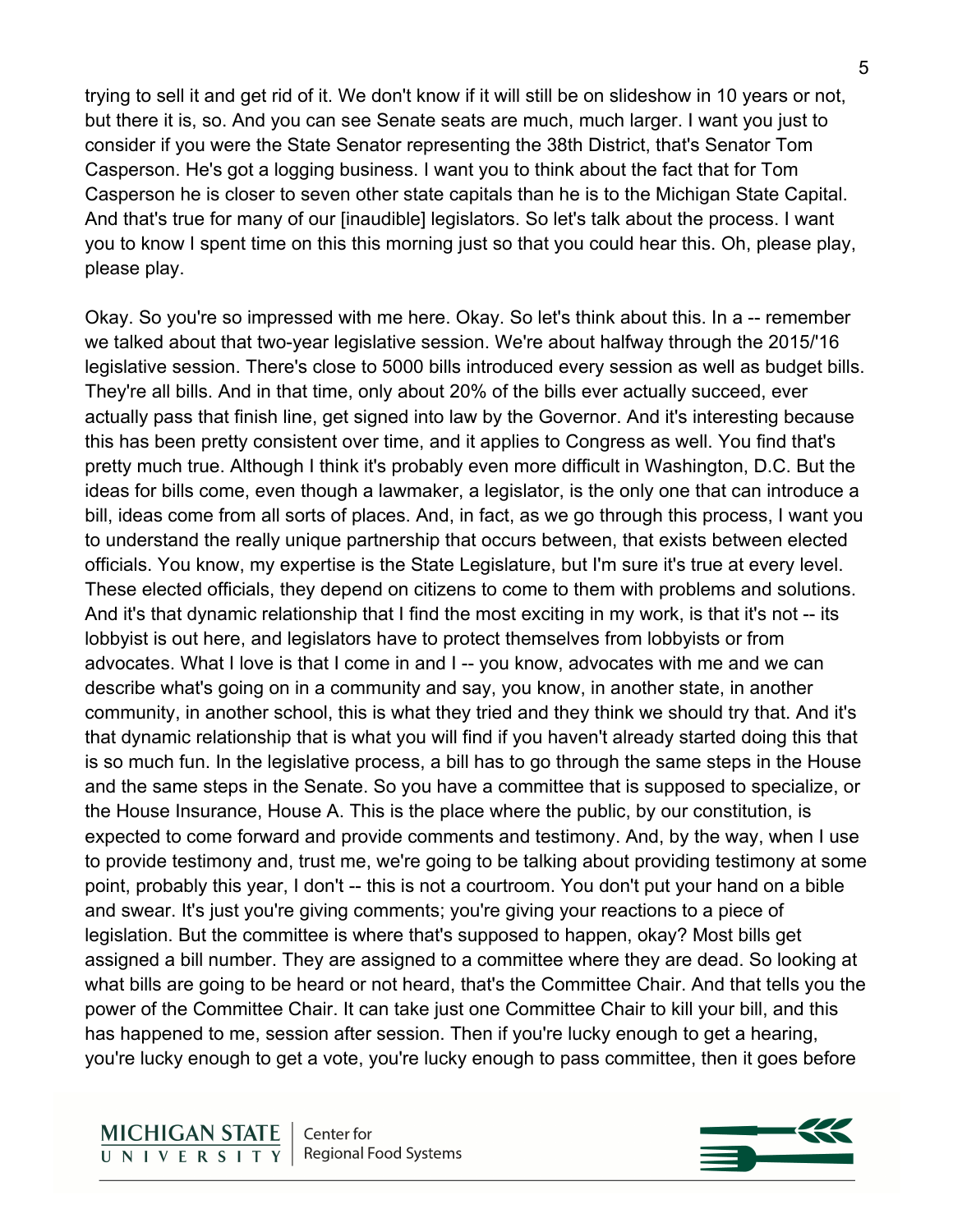trying to sell it and get rid of it. We don't know if it will still be on slideshow in 10 years or not, but there it is, so. And you can see Senate seats are much, much larger. I want you just to consider if you were the State Senator representing the 38th District, that's Senator Tom Casperson. He's got a logging business. I want you to think about the fact that for Tom Casperson he is closer to seven other state capitals than he is to the Michigan State Capital. And that's true for many of our [inaudible] legislators. So let's talk about the process. I want you to know I spent time on this this morning just so that you could hear this. Oh, please play, please play.

Okay. So you're so impressed with me here. Okay. So let's think about this. In a -- remember we talked about that two-year legislative session. We're about halfway through the 2015/'16 legislative session. There's close to 5000 bills introduced every session as well as budget bills. They're all bills. And in that time, only about 20% of the bills ever actually succeed, ever actually pass that finish line, get signed into law by the Governor. And it's interesting because this has been pretty consistent over time, and it applies to Congress as well. You find that's pretty much true. Although I think it's probably even more difficult in Washington, D.C. But the ideas for bills come, even though a lawmaker, a legislator, is the only one that can introduce a bill, ideas come from all sorts of places. And, in fact, as we go through this process, I want you to understand the really unique partnership that occurs between, that exists between elected officials. You know, my expertise is the State Legislature, but I'm sure it's true at every level. These elected officials, they depend on citizens to come to them with problems and solutions. And it's that dynamic relationship that I find the most exciting in my work, is that it's not -- its lobbyist is out here, and legislators have to protect themselves from lobbyists or from advocates. What I love is that I come in and I -- you know, advocates with me and we can describe what's going on in a community and say, you know, in another state, in another community, in another school, this is what they tried and they think we should try that. And it's that dynamic relationship that is what you will find if you haven't already started doing this that is so much fun. In the legislative process, a bill has to go through the same steps in the House and the same steps in the Senate. So you have a committee that is supposed to specialize, or the House Insurance, House A. This is the place where the public, by our constitution, is expected to come forward and provide comments and testimony. And, by the way, when I use to provide testimony and, trust me, we're going to be talking about providing testimony at some point, probably this year, I don't -- this is not a courtroom. You don't put your hand on a bible and swear. It's just you're giving comments; you're giving your reactions to a piece of legislation. But the committee is where that's supposed to happen, okay? Most bills get assigned a bill number. They are assigned to a committee where they are dead. So looking at what bills are going to be heard or not heard, that's the Committee Chair. And that tells you the power of the Committee Chair. It can take just one Committee Chair to kill your bill, and this has happened to me, session after session. Then if you're lucky enough to get a hearing, you're lucky enough to get a vote, you're lucky enough to pass committee, then it goes before

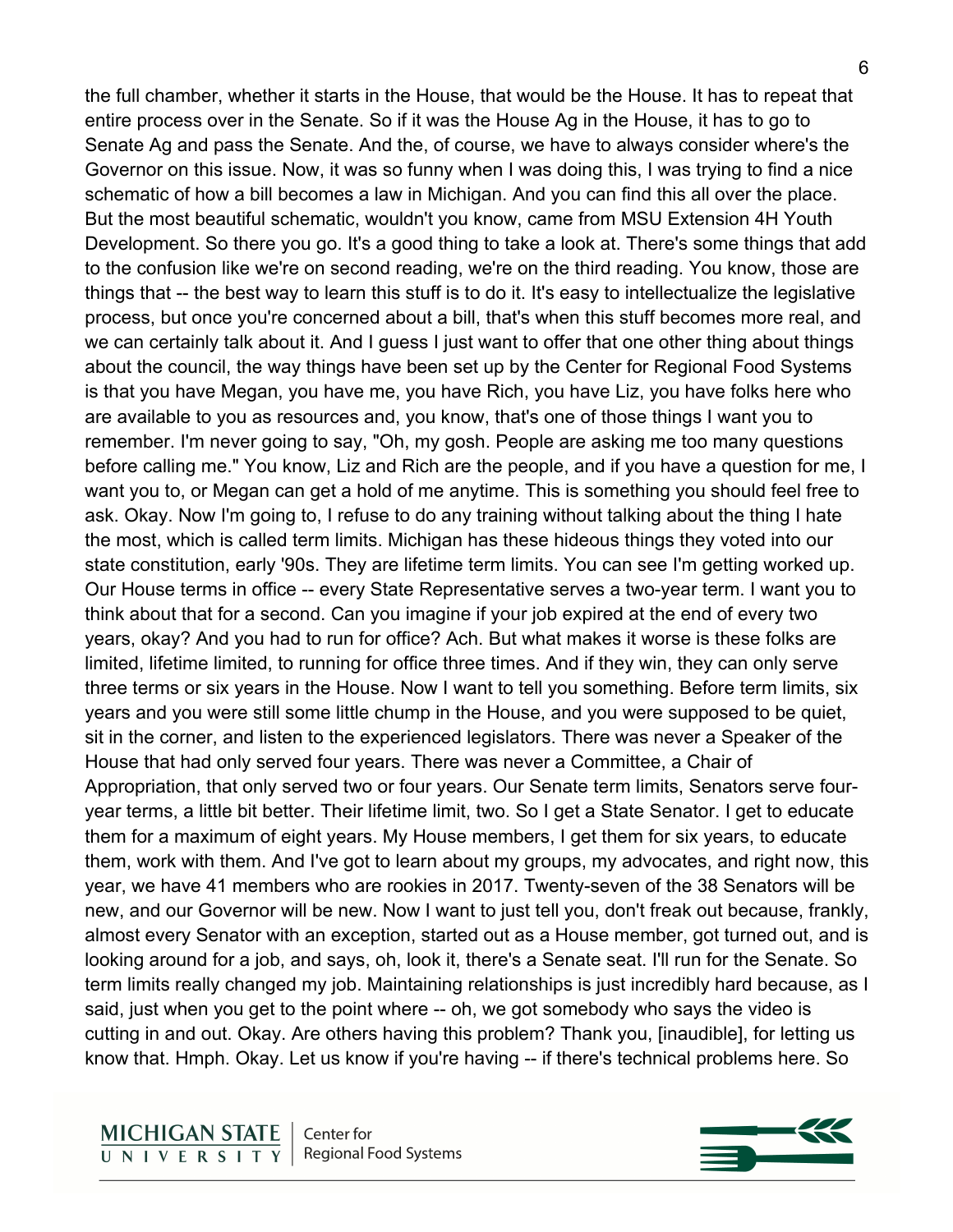the full chamber, whether it starts in the House, that would be the House. It has to repeat that entire process over in the Senate. So if it was the House Ag in the House, it has to go to Senate Ag and pass the Senate. And the, of course, we have to always consider where's the Governor on this issue. Now, it was so funny when I was doing this, I was trying to find a nice schematic of how a bill becomes a law in Michigan. And you can find this all over the place. But the most beautiful schematic, wouldn't you know, came from MSU Extension 4H Youth Development. So there you go. It's a good thing to take a look at. There's some things that add to the confusion like we're on second reading, we're on the third reading. You know, those are things that -- the best way to learn this stuff is to do it. It's easy to intellectualize the legislative process, but once you're concerned about a bill, that's when this stuff becomes more real, and we can certainly talk about it. And I guess I just want to offer that one other thing about things about the council, the way things have been set up by the Center for Regional Food Systems is that you have Megan, you have me, you have Rich, you have Liz, you have folks here who are available to you as resources and, you know, that's one of those things I want you to remember. I'm never going to say, "Oh, my gosh. People are asking me too many questions before calling me." You know, Liz and Rich are the people, and if you have a question for me, I want you to, or Megan can get a hold of me anytime. This is something you should feel free to ask. Okay. Now I'm going to, I refuse to do any training without talking about the thing I hate the most, which is called term limits. Michigan has these hideous things they voted into our state constitution, early '90s. They are lifetime term limits. You can see I'm getting worked up. Our House terms in office -- every State Representative serves a two-year term. I want you to think about that for a second. Can you imagine if your job expired at the end of every two years, okay? And you had to run for office? Ach. But what makes it worse is these folks are limited, lifetime limited, to running for office three times. And if they win, they can only serve three terms or six years in the House. Now I want to tell you something. Before term limits, six years and you were still some little chump in the House, and you were supposed to be quiet, sit in the corner, and listen to the experienced legislators. There was never a Speaker of the House that had only served four years. There was never a Committee, a Chair of Appropriation, that only served two or four years. Our Senate term limits, Senators serve fouryear terms, a little bit better. Their lifetime limit, two. So I get a State Senator. I get to educate them for a maximum of eight years. My House members, I get them for six years, to educate them, work with them. And I've got to learn about my groups, my advocates, and right now, this year, we have 41 members who are rookies in 2017. Twenty-seven of the 38 Senators will be new, and our Governor will be new. Now I want to just tell you, don't freak out because, frankly, almost every Senator with an exception, started out as a House member, got turned out, and is looking around for a job, and says, oh, look it, there's a Senate seat. I'll run for the Senate. So

term limits really changed my job. Maintaining relationships is just incredibly hard because, as I said, just when you get to the point where -- oh, we got somebody who says the video is cutting in and out. Okay. Are others having this problem? Thank you, [inaudible], for letting us know that. Hmph. Okay. Let us know if you're having -- if there's technical problems here. So

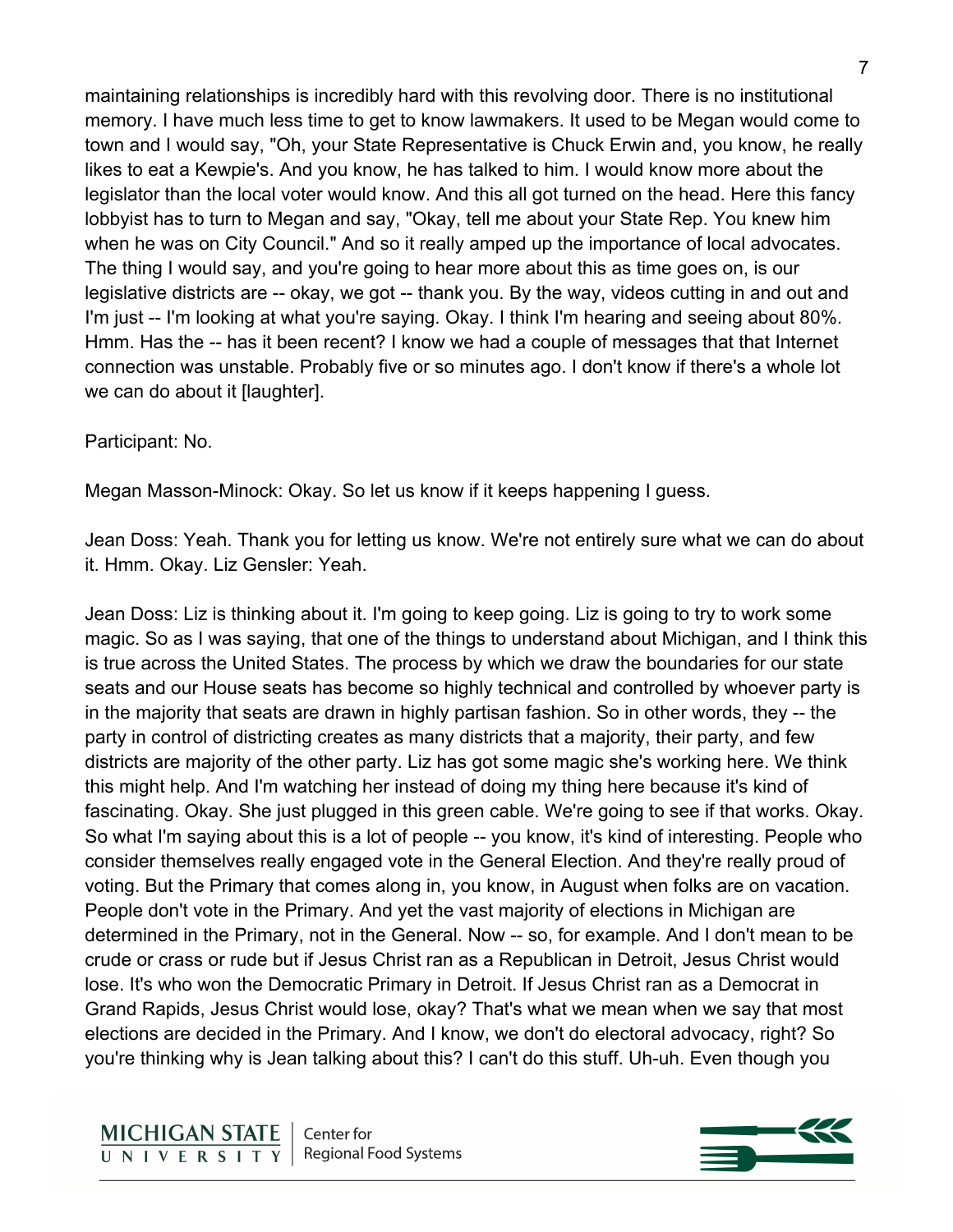maintaining relationships is incredibly hard with this revolving door. There is no institutional memory. I have much less time to get to know lawmakers. It used to be Megan would come to town and I would say, "Oh, your State Representative is Chuck Erwin and, you know, he really likes to eat a Kewpie's. And you know, he has talked to him. I would know more about the legislator than the local voter would know. And this all got turned on the head. Here this fancy lobbyist has to turn to Megan and say, "Okay, tell me about your State Rep. You knew him when he was on City Council." And so it really amped up the importance of local advocates. The thing I would say, and you're going to hear more about this as time goes on, is our legislative districts are -- okay, we got -- thank you. By the way, videos cutting in and out and I'm just -- I'm looking at what you're saying. Okay. I think I'm hearing and seeing about 80%. Hmm. Has the -- has it been recent? I know we had a couple of messages that that Internet connection was unstable. Probably five or so minutes ago. I don't know if there's a whole lot we can do about it [laughter].

#### Participant: No.

Megan Masson-Minock: Okay. So let us know if it keeps happening I guess.

Jean Doss: Yeah. Thank you for letting us know. We're not entirely sure what we can do about it. Hmm. Okay. Liz Gensler: Yeah.

Jean Doss: Liz is thinking about it. I'm going to keep going. Liz is going to try to work some magic. So as I was saying, that one of the things to understand about Michigan, and I think this is true across the United States. The process by which we draw the boundaries for our state seats and our House seats has become so highly technical and controlled by whoever party is in the majority that seats are drawn in highly partisan fashion. So in other words, they -- the party in control of districting creates as many districts that a majority, their party, and few districts are majority of the other party. Liz has got some magic she's working here. We think this might help. And I'm watching her instead of doing my thing here because it's kind of fascinating. Okay. She just plugged in this green cable. We're going to see if that works. Okay. So what I'm saying about this is a lot of people -- you know, it's kind of interesting. People who consider themselves really engaged vote in the General Election. And they're really proud of voting. But the Primary that comes along in, you know, in August when folks are on vacation. People don't vote in the Primary. And yet the vast majority of elections in Michigan are determined in the Primary, not in the General. Now -- so, for example. And I don't mean to be crude or crass or rude but if Jesus Christ ran as a Republican in Detroit, Jesus Christ would lose. It's who won the Democratic Primary in Detroit. If Jesus Christ ran as a Democrat in Grand Rapids, Jesus Christ would lose, okay? That's what we mean when we say that most elections are decided in the Primary. And I know, we don't do electoral advocacy, right? So you're thinking why is Jean talking about this? I can't do this stuff. Uh-uh. Even though you

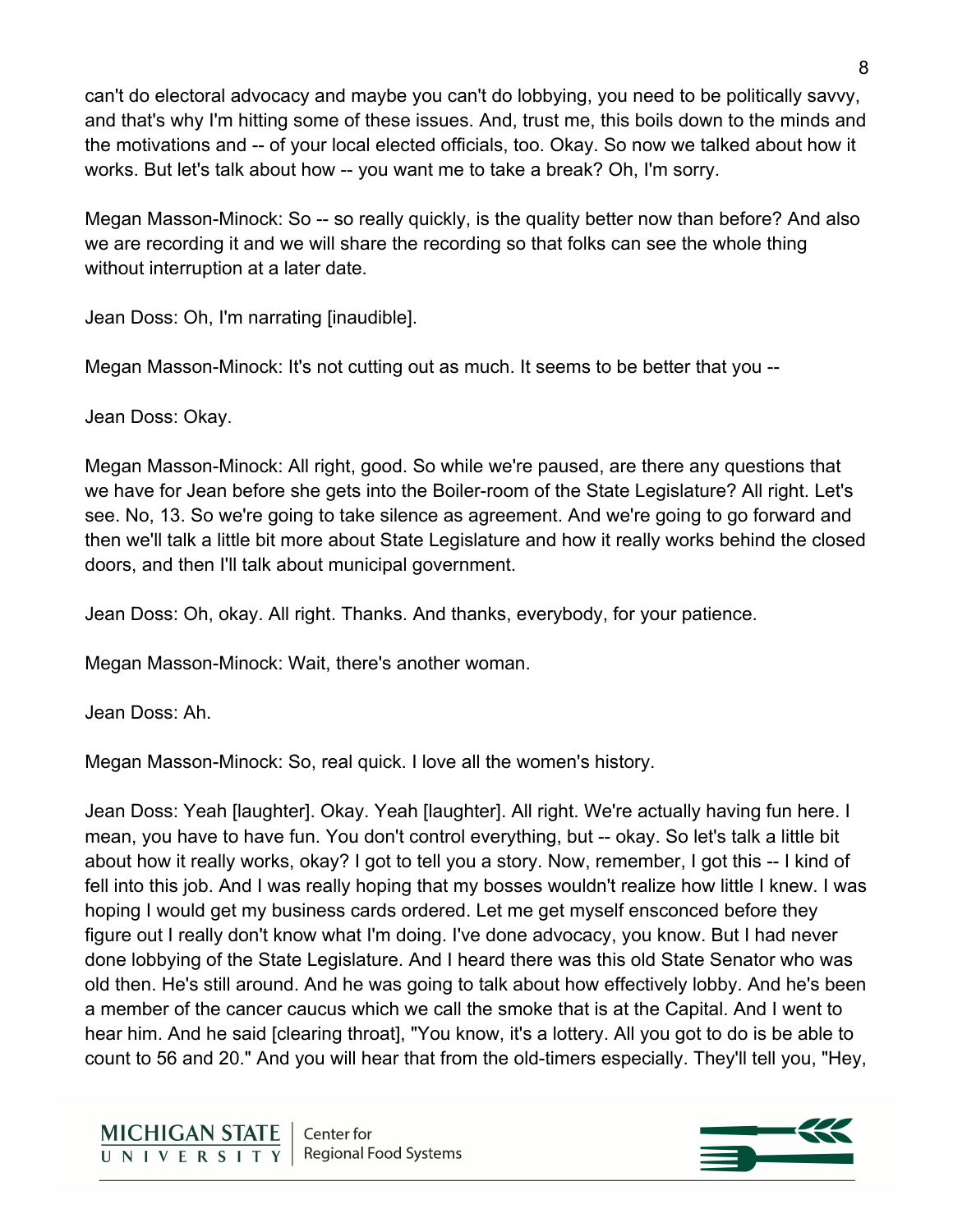can't do electoral advocacy and maybe you can't do lobbying, you need to be politically savvy, and that's why I'm hitting some of these issues. And, trust me, this boils down to the minds and the motivations and -- of your local elected officials, too. Okay. So now we talked about how it works. But let's talk about how -- you want me to take a break? Oh, I'm sorry.

Megan Masson-Minock: So -- so really quickly, is the quality better now than before? And also we are recording it and we will share the recording so that folks can see the whole thing without interruption at a later date.

Jean Doss: Oh, I'm narrating [inaudible].

Megan Masson-Minock: It's not cutting out as much. It seems to be better that you --

Jean Doss: Okay.

Megan Masson-Minock: All right, good. So while we're paused, are there any questions that we have for Jean before she gets into the Boiler-room of the State Legislature? All right. Let's see. No, 13. So we're going to take silence as agreement. And we're going to go forward and then we'll talk a little bit more about State Legislature and how it really works behind the closed doors, and then I'll talk about municipal government.

Jean Doss: Oh, okay. All right. Thanks. And thanks, everybody, for your patience.

Megan Masson-Minock: Wait, there's another woman.

Jean Doss: Ah.

Megan Masson-Minock: So, real quick. I love all the women's history.

Jean Doss: Yeah [laughter]. Okay. Yeah [laughter]. All right. We're actually having fun here. I mean, you have to have fun. You don't control everything, but -- okay. So let's talk a little bit about how it really works, okay? I got to tell you a story. Now, remember, I got this -- I kind of fell into this job. And I was really hoping that my bosses wouldn't realize how little I knew. I was hoping I would get my business cards ordered. Let me get myself ensconced before they figure out I really don't know what I'm doing. I've done advocacy, you know. But I had never done lobbying of the State Legislature. And I heard there was this old State Senator who was old then. He's still around. And he was going to talk about how effectively lobby. And he's been a member of the cancer caucus which we call the smoke that is at the Capital. And I went to hear him. And he said [clearing throat], "You know, it's a lottery. All you got to do is be able to count to 56 and 20." And you will hear that from the old-timers especially. They'll tell you, "Hey,



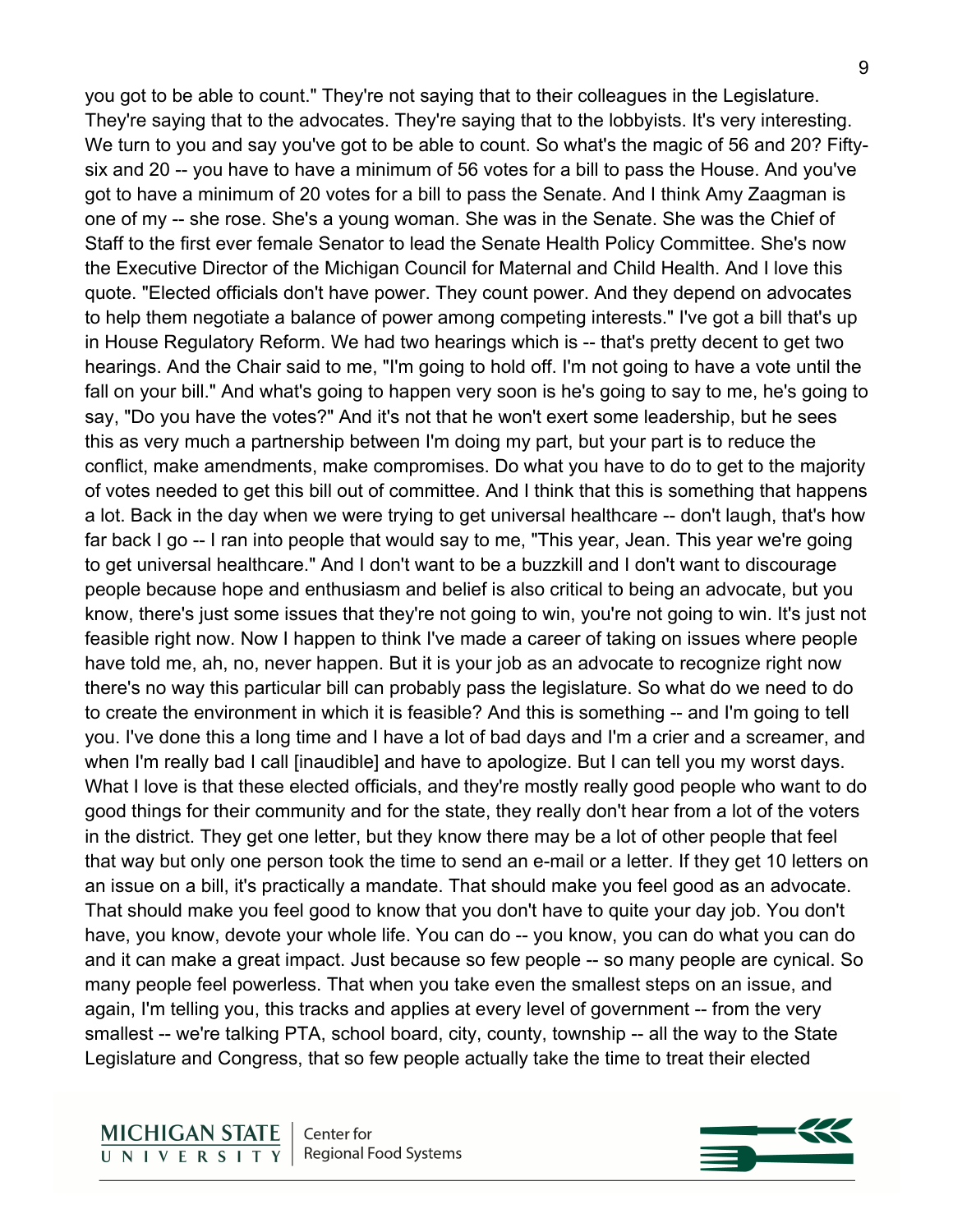you got to be able to count." They're not saying that to their colleagues in the Legislature. They're saying that to the advocates. They're saying that to the lobbyists. It's very interesting. We turn to you and say you've got to be able to count. So what's the magic of 56 and 20? Fiftysix and 20 -- you have to have a minimum of 56 votes for a bill to pass the House. And you've got to have a minimum of 20 votes for a bill to pass the Senate. And I think Amy Zaagman is one of my -- she rose. She's a young woman. She was in the Senate. She was the Chief of Staff to the first ever female Senator to lead the Senate Health Policy Committee. She's now the Executive Director of the Michigan Council for Maternal and Child Health. And I love this quote. "Elected officials don't have power. They count power. And they depend on advocates to help them negotiate a balance of power among competing interests." I've got a bill that's up in House Regulatory Reform. We had two hearings which is -- that's pretty decent to get two hearings. And the Chair said to me, "I'm going to hold off. I'm not going to have a vote until the fall on your bill." And what's going to happen very soon is he's going to say to me, he's going to say, "Do you have the votes?" And it's not that he won't exert some leadership, but he sees this as very much a partnership between I'm doing my part, but your part is to reduce the conflict, make amendments, make compromises. Do what you have to do to get to the majority of votes needed to get this bill out of committee. And I think that this is something that happens a lot. Back in the day when we were trying to get universal healthcare -- don't laugh, that's how far back I go -- I ran into people that would say to me, "This year, Jean. This year we're going to get universal healthcare." And I don't want to be a buzzkill and I don't want to discourage people because hope and enthusiasm and belief is also critical to being an advocate, but you know, there's just some issues that they're not going to win, you're not going to win. It's just not feasible right now. Now I happen to think I've made a career of taking on issues where people have told me, ah, no, never happen. But it is your job as an advocate to recognize right now there's no way this particular bill can probably pass the legislature. So what do we need to do to create the environment in which it is feasible? And this is something -- and I'm going to tell you. I've done this a long time and I have a lot of bad days and I'm a crier and a screamer, and when I'm really bad I call [inaudible] and have to apologize. But I can tell you my worst days. What I love is that these elected officials, and they're mostly really good people who want to do good things for their community and for the state, they really don't hear from a lot of the voters in the district. They get one letter, but they know there may be a lot of other people that feel that way but only one person took the time to send an e-mail or a letter. If they get 10 letters on an issue on a bill, it's practically a mandate. That should make you feel good as an advocate. That should make you feel good to know that you don't have to quite your day job. You don't have, you know, devote your whole life. You can do -- you know, you can do what you can do and it can make a great impact. Just because so few people -- so many people are cynical. So many people feel powerless. That when you take even the smallest steps on an issue, and again, I'm telling you, this tracks and applies at every level of government -- from the very smallest -- we're talking PTA, school board, city, county, township -- all the way to the State Legislature and Congress, that so few people actually take the time to treat their elected

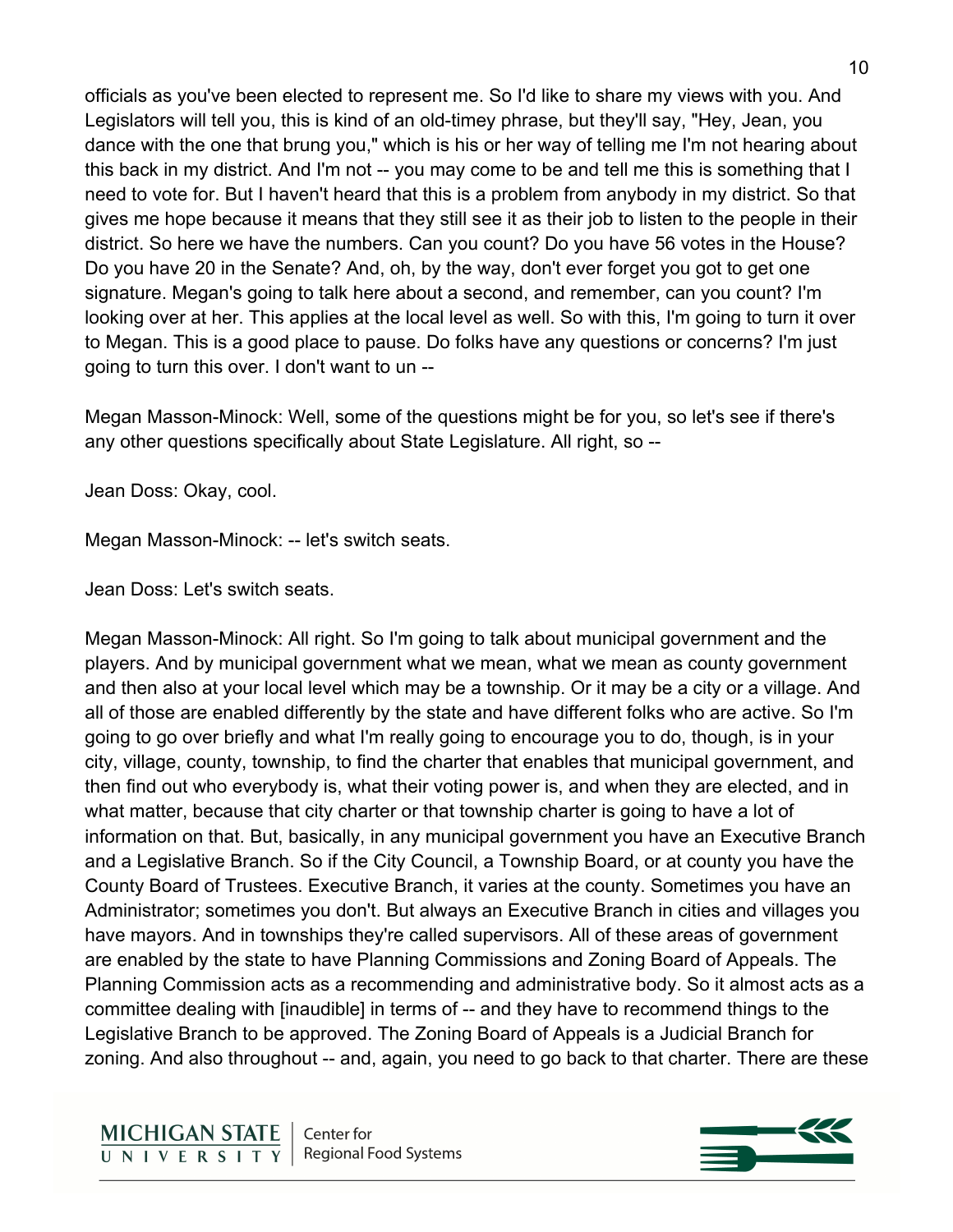officials as you've been elected to represent me. So I'd like to share my views with you. And Legislators will tell you, this is kind of an old-timey phrase, but they'll say, "Hey, Jean, you dance with the one that brung you," which is his or her way of telling me I'm not hearing about this back in my district. And I'm not -- you may come to be and tell me this is something that I need to vote for. But I haven't heard that this is a problem from anybody in my district. So that gives me hope because it means that they still see it as their job to listen to the people in their district. So here we have the numbers. Can you count? Do you have 56 votes in the House? Do you have 20 in the Senate? And, oh, by the way, don't ever forget you got to get one signature. Megan's going to talk here about a second, and remember, can you count? I'm looking over at her. This applies at the local level as well. So with this, I'm going to turn it over to Megan. This is a good place to pause. Do folks have any questions or concerns? I'm just going to turn this over. I don't want to un --

Megan Masson-Minock: Well, some of the questions might be for you, so let's see if there's any other questions specifically about State Legislature. All right, so --

Jean Doss: Okay, cool.

Megan Masson-Minock: -- let's switch seats.

Jean Doss: Let's switch seats.

Megan Masson-Minock: All right. So I'm going to talk about municipal government and the players. And by municipal government what we mean, what we mean as county government and then also at your local level which may be a township. Or it may be a city or a village. And all of those are enabled differently by the state and have different folks who are active. So I'm going to go over briefly and what I'm really going to encourage you to do, though, is in your city, village, county, township, to find the charter that enables that municipal government, and then find out who everybody is, what their voting power is, and when they are elected, and in what matter, because that city charter or that township charter is going to have a lot of information on that. But, basically, in any municipal government you have an Executive Branch and a Legislative Branch. So if the City Council, a Township Board, or at county you have the County Board of Trustees. Executive Branch, it varies at the county. Sometimes you have an Administrator; sometimes you don't. But always an Executive Branch in cities and villages you have mayors. And in townships they're called supervisors. All of these areas of government are enabled by the state to have Planning Commissions and Zoning Board of Appeals. The Planning Commission acts as a recommending and administrative body. So it almost acts as a committee dealing with [inaudible] in terms of -- and they have to recommend things to the Legislative Branch to be approved. The Zoning Board of Appeals is a Judicial Branch for zoning. And also throughout -- and, again, you need to go back to that charter. There are these

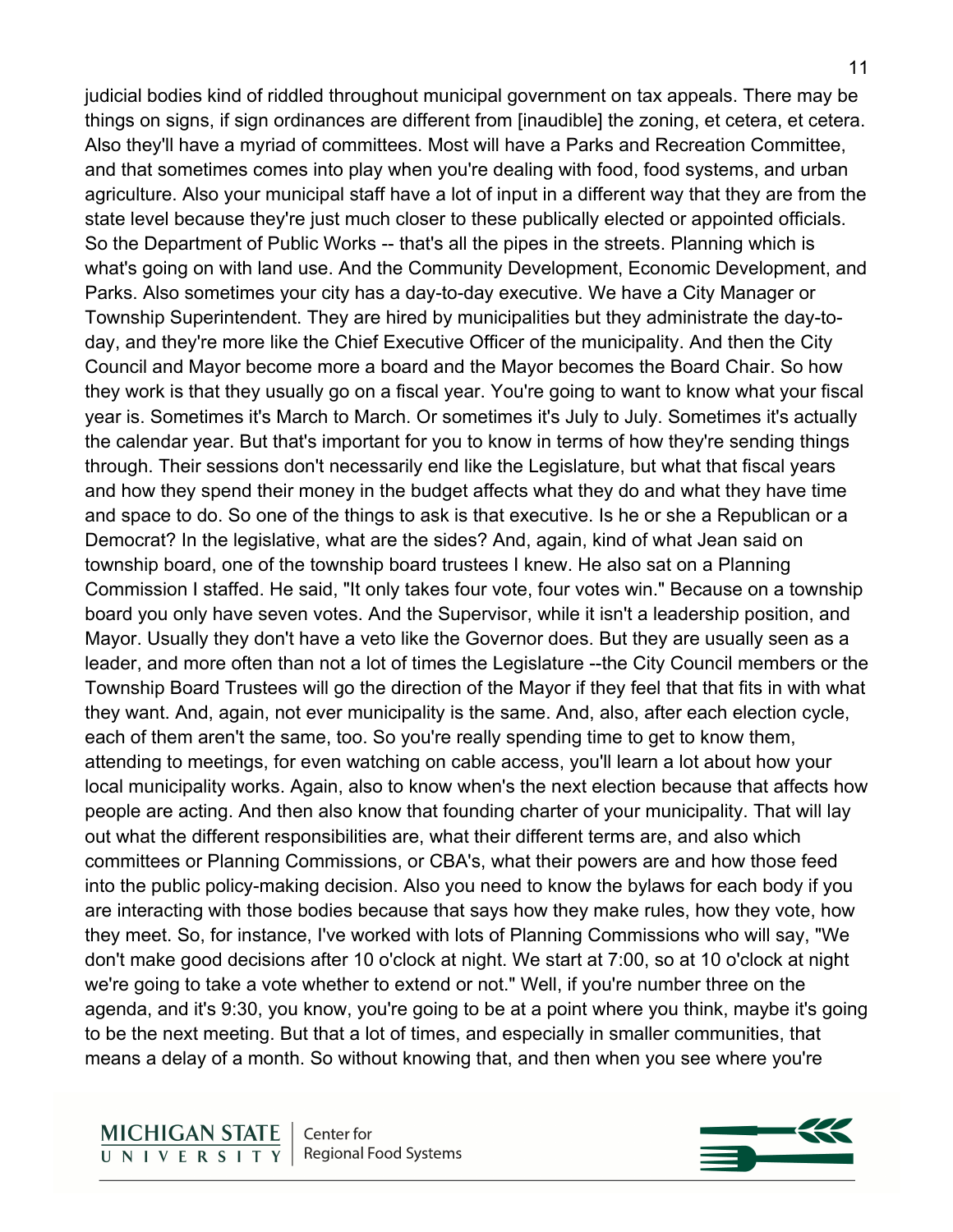judicial bodies kind of riddled throughout municipal government on tax appeals. There may be things on signs, if sign ordinances are different from [inaudible] the zoning, et cetera, et cetera. Also they'll have a myriad of committees. Most will have a Parks and Recreation Committee, and that sometimes comes into play when you're dealing with food, food systems, and urban agriculture. Also your municipal staff have a lot of input in a different way that they are from the state level because they're just much closer to these publically elected or appointed officials. So the Department of Public Works -- that's all the pipes in the streets. Planning which is what's going on with land use. And the Community Development, Economic Development, and Parks. Also sometimes your city has a day-to-day executive. We have a City Manager or Township Superintendent. They are hired by municipalities but they administrate the day-today, and they're more like the Chief Executive Officer of the municipality. And then the City Council and Mayor become more a board and the Mayor becomes the Board Chair. So how they work is that they usually go on a fiscal year. You're going to want to know what your fiscal year is. Sometimes it's March to March. Or sometimes it's July to July. Sometimes it's actually the calendar year. But that's important for you to know in terms of how they're sending things through. Their sessions don't necessarily end like the Legislature, but what that fiscal years and how they spend their money in the budget affects what they do and what they have time and space to do. So one of the things to ask is that executive. Is he or she a Republican or a Democrat? In the legislative, what are the sides? And, again, kind of what Jean said on township board, one of the township board trustees I knew. He also sat on a Planning Commission I staffed. He said, "It only takes four vote, four votes win." Because on a township board you only have seven votes. And the Supervisor, while it isn't a leadership position, and Mayor. Usually they don't have a veto like the Governor does. But they are usually seen as a leader, and more often than not a lot of times the Legislature --the City Council members or the Township Board Trustees will go the direction of the Mayor if they feel that that fits in with what they want. And, again, not ever municipality is the same. And, also, after each election cycle, each of them aren't the same, too. So you're really spending time to get to know them, attending to meetings, for even watching on cable access, you'll learn a lot about how your local municipality works. Again, also to know when's the next election because that affects how people are acting. And then also know that founding charter of your municipality. That will lay out what the different responsibilities are, what their different terms are, and also which committees or Planning Commissions, or CBA's, what their powers are and how those feed into the public policy-making decision. Also you need to know the bylaws for each body if you are interacting with those bodies because that says how they make rules, how they vote, how they meet. So, for instance, I've worked with lots of Planning Commissions who will say, "We don't make good decisions after 10 o'clock at night. We start at 7:00, so at 10 o'clock at night we're going to take a vote whether to extend or not." Well, if you're number three on the agenda, and it's 9:30, you know, you're going to be at a point where you think, maybe it's going to be the next meeting. But that a lot of times, and especially in smaller communities, that means a delay of a month. So without knowing that, and then when you see where you're

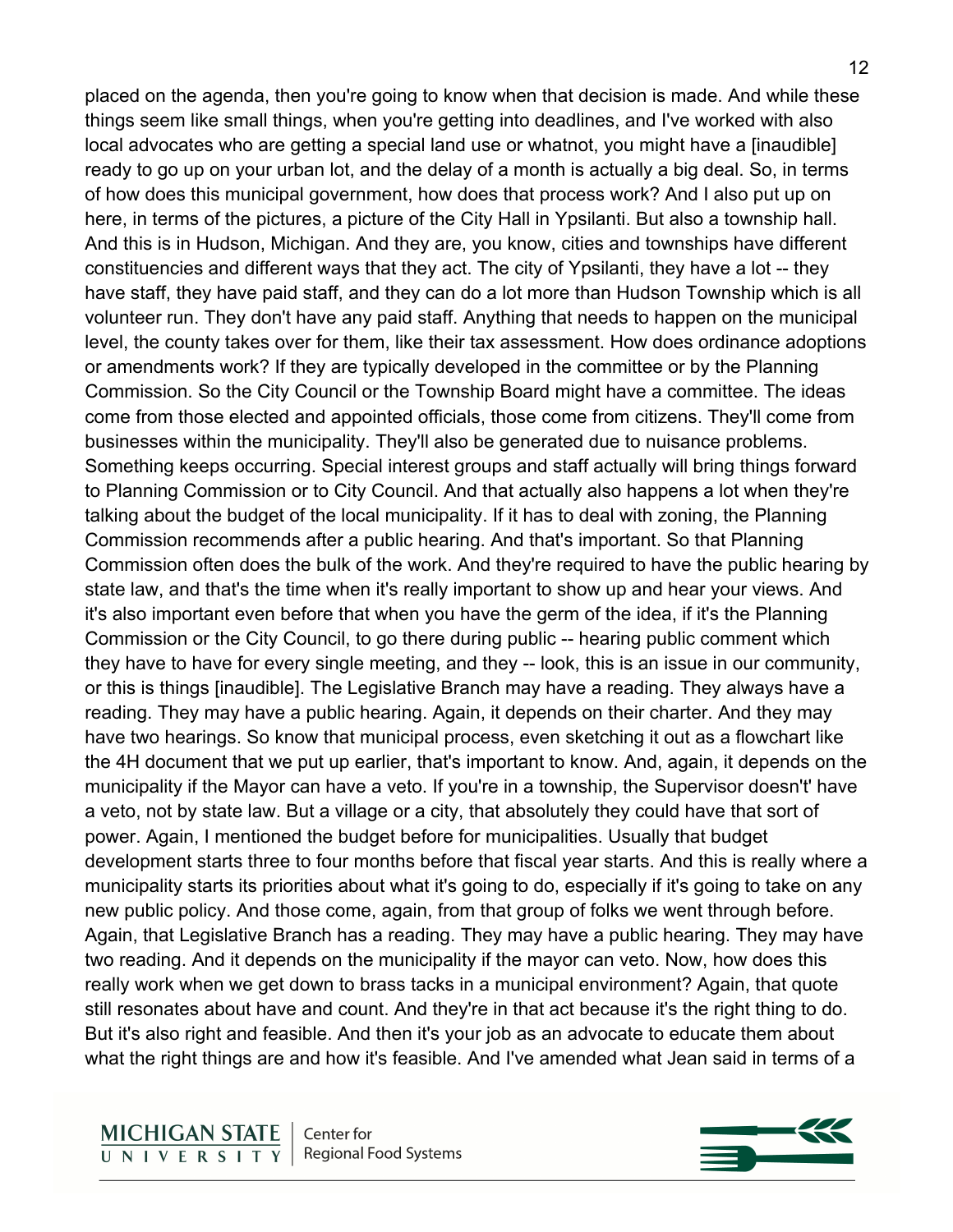placed on the agenda, then you're going to know when that decision is made. And while these things seem like small things, when you're getting into deadlines, and I've worked with also local advocates who are getting a special land use or whatnot, you might have a [inaudible] ready to go up on your urban lot, and the delay of a month is actually a big deal. So, in terms of how does this municipal government, how does that process work? And I also put up on here, in terms of the pictures, a picture of the City Hall in Ypsilanti. But also a township hall. And this is in Hudson, Michigan. And they are, you know, cities and townships have different constituencies and different ways that they act. The city of Ypsilanti, they have a lot -- they have staff, they have paid staff, and they can do a lot more than Hudson Township which is all volunteer run. They don't have any paid staff. Anything that needs to happen on the municipal level, the county takes over for them, like their tax assessment. How does ordinance adoptions or amendments work? If they are typically developed in the committee or by the Planning Commission. So the City Council or the Township Board might have a committee. The ideas come from those elected and appointed officials, those come from citizens. They'll come from businesses within the municipality. They'll also be generated due to nuisance problems. Something keeps occurring. Special interest groups and staff actually will bring things forward to Planning Commission or to City Council. And that actually also happens a lot when they're talking about the budget of the local municipality. If it has to deal with zoning, the Planning Commission recommends after a public hearing. And that's important. So that Planning Commission often does the bulk of the work. And they're required to have the public hearing by state law, and that's the time when it's really important to show up and hear your views. And it's also important even before that when you have the germ of the idea, if it's the Planning Commission or the City Council, to go there during public -- hearing public comment which they have to have for every single meeting, and they -- look, this is an issue in our community, or this is things [inaudible]. The Legislative Branch may have a reading. They always have a reading. They may have a public hearing. Again, it depends on their charter. And they may have two hearings. So know that municipal process, even sketching it out as a flowchart like the 4H document that we put up earlier, that's important to know. And, again, it depends on the municipality if the Mayor can have a veto. If you're in a township, the Supervisor doesn't' have a veto, not by state law. But a village or a city, that absolutely they could have that sort of power. Again, I mentioned the budget before for municipalities. Usually that budget development starts three to four months before that fiscal year starts. And this is really where a municipality starts its priorities about what it's going to do, especially if it's going to take on any new public policy. And those come, again, from that group of folks we went through before. Again, that Legislative Branch has a reading. They may have a public hearing. They may have two reading. And it depends on the municipality if the mayor can veto. Now, how does this really work when we get down to brass tacks in a municipal environment? Again, that quote still resonates about have and count. And they're in that act because it's the right thing to do. But it's also right and feasible. And then it's your job as an advocate to educate them about what the right things are and how it's feasible. And I've amended what Jean said in terms of a

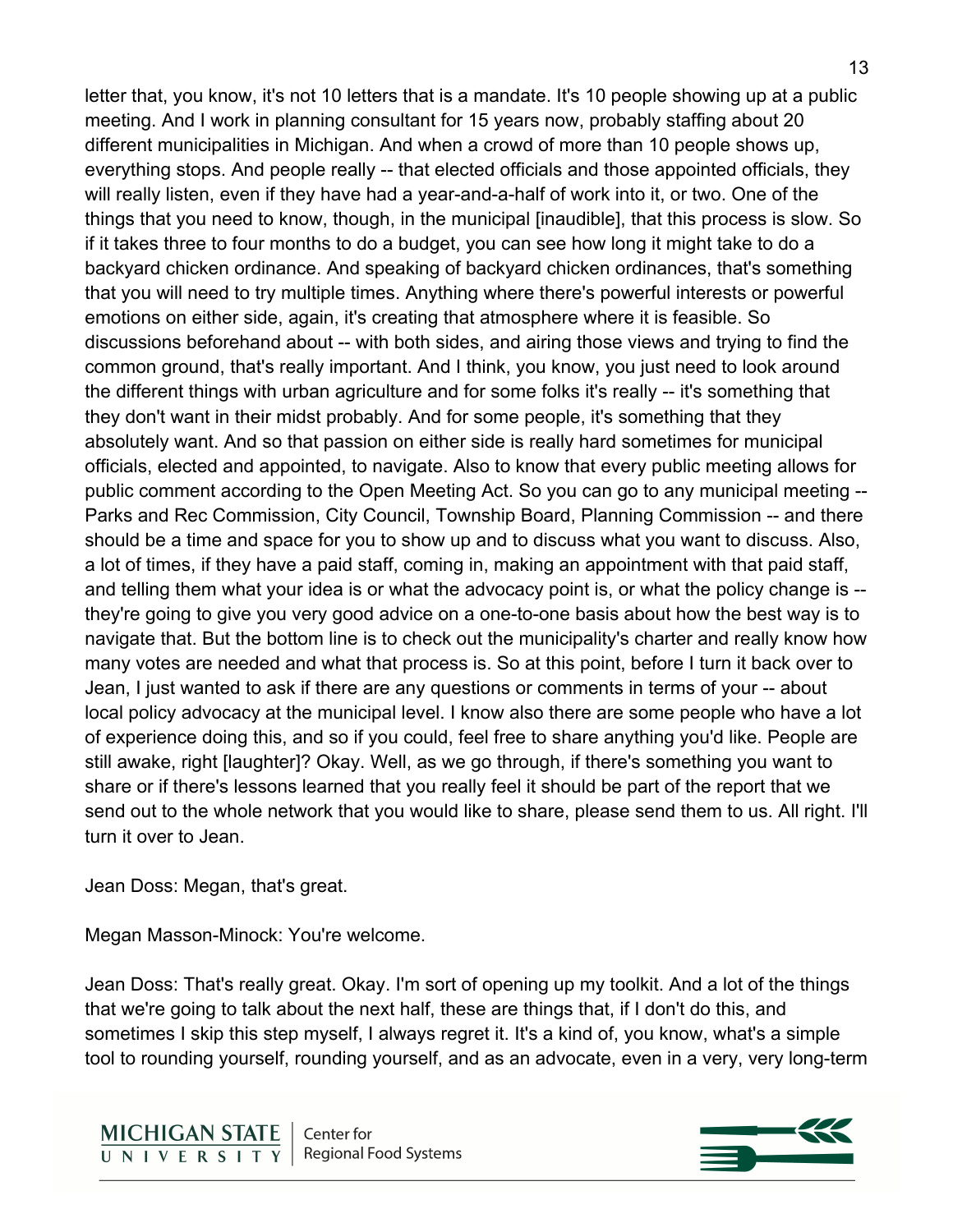letter that, you know, it's not 10 letters that is a mandate. It's 10 people showing up at a public meeting. And I work in planning consultant for 15 years now, probably staffing about 20 different municipalities in Michigan. And when a crowd of more than 10 people shows up, everything stops. And people really -- that elected officials and those appointed officials, they will really listen, even if they have had a year-and-a-half of work into it, or two. One of the things that you need to know, though, in the municipal [inaudible], that this process is slow. So if it takes three to four months to do a budget, you can see how long it might take to do a backyard chicken ordinance. And speaking of backyard chicken ordinances, that's something that you will need to try multiple times. Anything where there's powerful interests or powerful emotions on either side, again, it's creating that atmosphere where it is feasible. So discussions beforehand about -- with both sides, and airing those views and trying to find the common ground, that's really important. And I think, you know, you just need to look around the different things with urban agriculture and for some folks it's really -- it's something that they don't want in their midst probably. And for some people, it's something that they absolutely want. And so that passion on either side is really hard sometimes for municipal officials, elected and appointed, to navigate. Also to know that every public meeting allows for public comment according to the Open Meeting Act. So you can go to any municipal meeting -- Parks and Rec Commission, City Council, Township Board, Planning Commission -- and there should be a time and space for you to show up and to discuss what you want to discuss. Also, a lot of times, if they have a paid staff, coming in, making an appointment with that paid staff, and telling them what your idea is or what the advocacy point is, or what the policy change is - they're going to give you very good advice on a one-to-one basis about how the best way is to navigate that. But the bottom line is to check out the municipality's charter and really know how many votes are needed and what that process is. So at this point, before I turn it back over to Jean, I just wanted to ask if there are any questions or comments in terms of your -- about local policy advocacy at the municipal level. I know also there are some people who have a lot of experience doing this, and so if you could, feel free to share anything you'd like. People are still awake, right [laughter]? Okay. Well, as we go through, if there's something you want to share or if there's lessons learned that you really feel it should be part of the report that we send out to the whole network that you would like to share, please send them to us. All right. I'll turn it over to Jean.

Jean Doss: Megan, that's great.

Megan Masson-Minock: You're welcome.

Jean Doss: That's really great. Okay. I'm sort of opening up my toolkit. And a lot of the things that we're going to talk about the next half, these are things that, if I don't do this, and sometimes I skip this step myself, I always regret it. It's a kind of, you know, what's a simple tool to rounding yourself, rounding yourself, and as an advocate, even in a very, very long-term

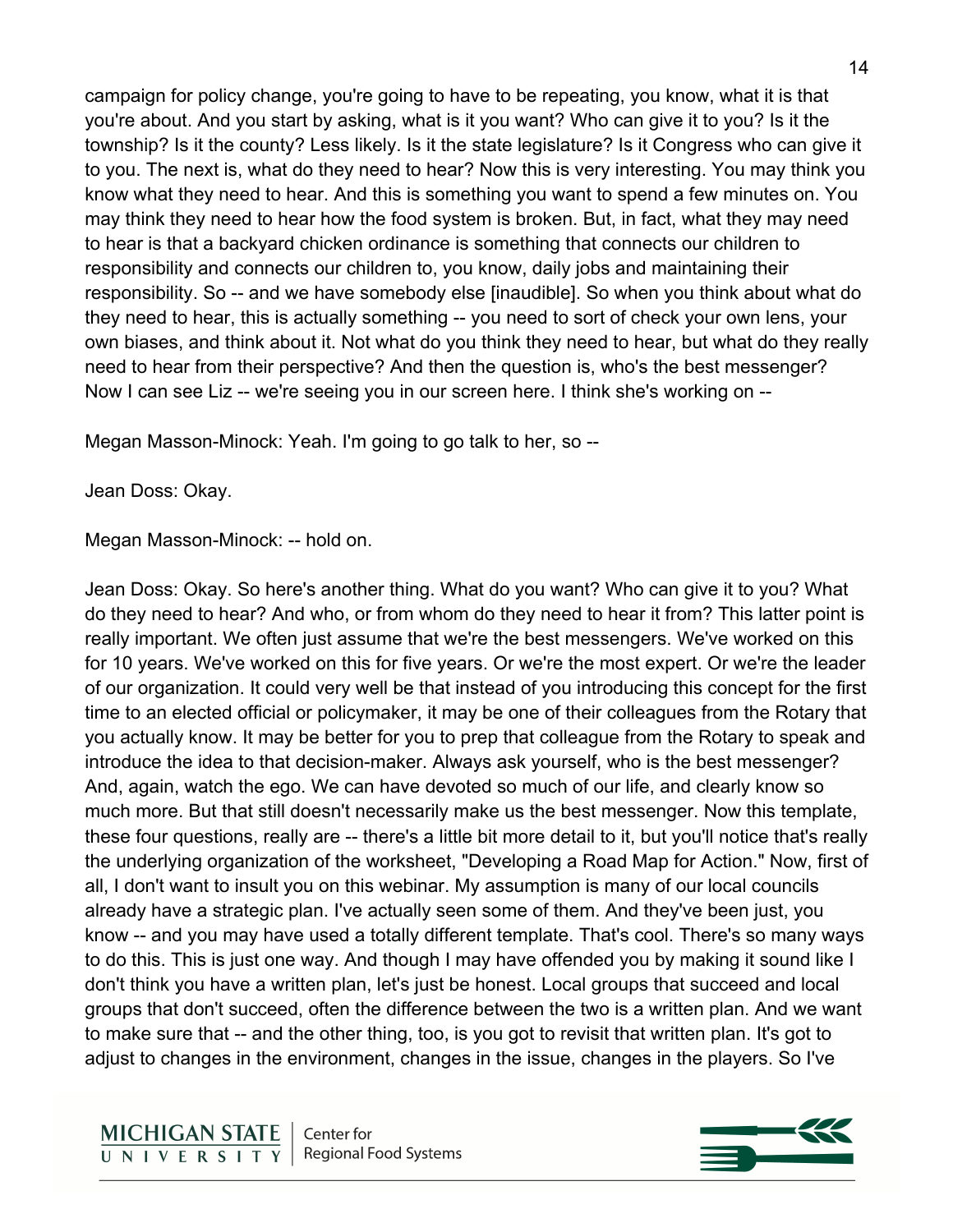campaign for policy change, you're going to have to be repeating, you know, what it is that you're about. And you start by asking, what is it you want? Who can give it to you? Is it the township? Is it the county? Less likely. Is it the state legislature? Is it Congress who can give it to you. The next is, what do they need to hear? Now this is very interesting. You may think you know what they need to hear. And this is something you want to spend a few minutes on. You may think they need to hear how the food system is broken. But, in fact, what they may need to hear is that a backyard chicken ordinance is something that connects our children to responsibility and connects our children to, you know, daily jobs and maintaining their responsibility. So -- and we have somebody else [inaudible]. So when you think about what do they need to hear, this is actually something -- you need to sort of check your own lens, your own biases, and think about it. Not what do you think they need to hear, but what do they really need to hear from their perspective? And then the question is, who's the best messenger? Now I can see Liz -- we're seeing you in our screen here. I think she's working on --

Megan Masson-Minock: Yeah. I'm going to go talk to her, so --

Jean Doss: Okay.

Megan Masson-Minock: -- hold on.

Jean Doss: Okay. So here's another thing. What do you want? Who can give it to you? What do they need to hear? And who, or from whom do they need to hear it from? This latter point is really important. We often just assume that we're the best messengers. We've worked on this for 10 years. We've worked on this for five years. Or we're the most expert. Or we're the leader of our organization. It could very well be that instead of you introducing this concept for the first time to an elected official or policymaker, it may be one of their colleagues from the Rotary that you actually know. It may be better for you to prep that colleague from the Rotary to speak and introduce the idea to that decision-maker. Always ask yourself, who is the best messenger? And, again, watch the ego. We can have devoted so much of our life, and clearly know so much more. But that still doesn't necessarily make us the best messenger. Now this template, these four questions, really are -- there's a little bit more detail to it, but you'll notice that's really the underlying organization of the worksheet, "Developing a Road Map for Action." Now, first of all, I don't want to insult you on this webinar. My assumption is many of our local councils already have a strategic plan. I've actually seen some of them. And they've been just, you know -- and you may have used a totally different template. That's cool. There's so many ways to do this. This is just one way. And though I may have offended you by making it sound like I don't think you have a written plan, let's just be honest. Local groups that succeed and local groups that don't succeed, often the difference between the two is a written plan. And we want to make sure that -- and the other thing, too, is you got to revisit that written plan. It's got to adjust to changes in the environment, changes in the issue, changes in the players. So I've

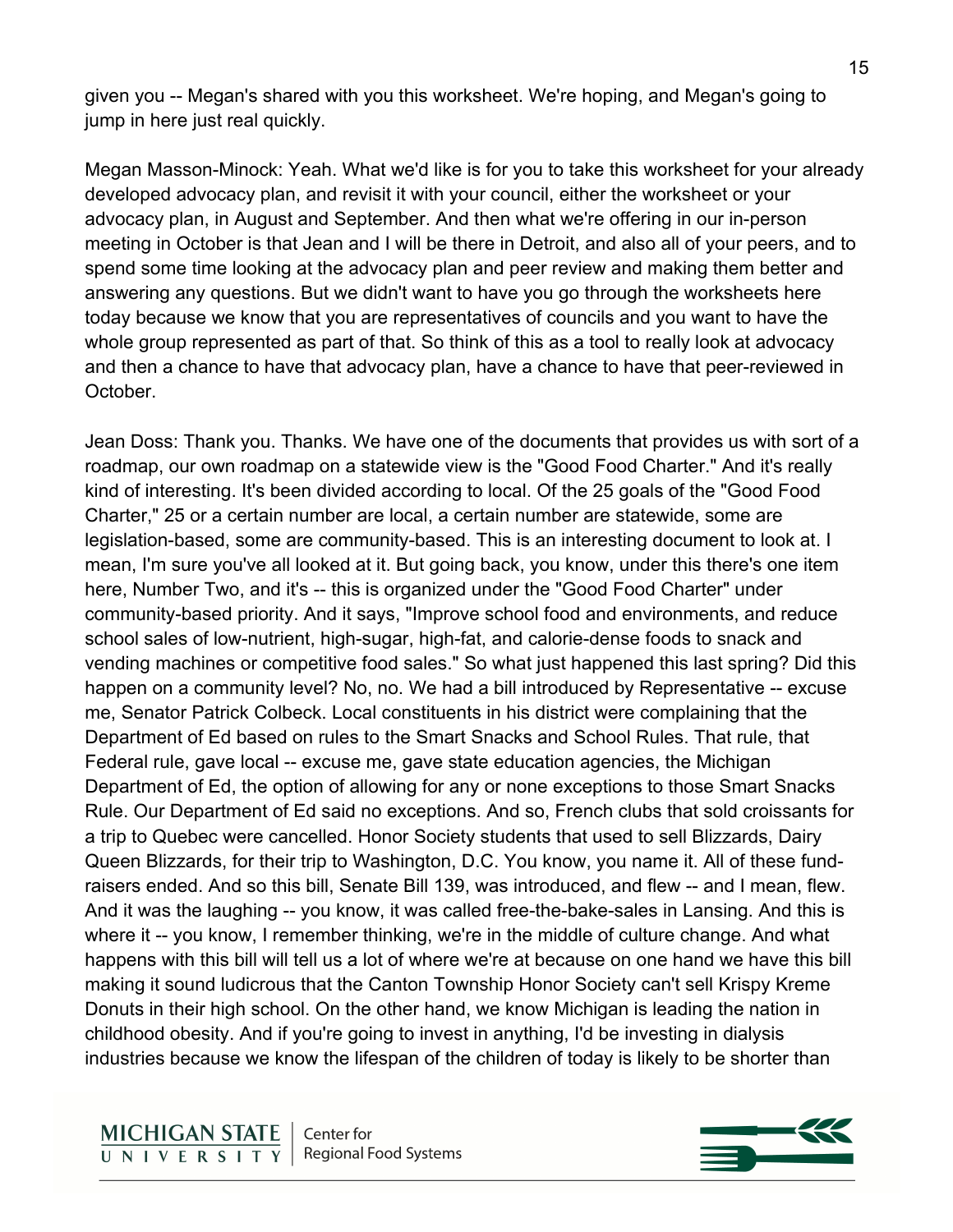given you -- Megan's shared with you this worksheet. We're hoping, and Megan's going to jump in here just real quickly.

Megan Masson-Minock: Yeah. What we'd like is for you to take this worksheet for your already developed advocacy plan, and revisit it with your council, either the worksheet or your advocacy plan, in August and September. And then what we're offering in our in-person meeting in October is that Jean and I will be there in Detroit, and also all of your peers, and to spend some time looking at the advocacy plan and peer review and making them better and answering any questions. But we didn't want to have you go through the worksheets here today because we know that you are representatives of councils and you want to have the whole group represented as part of that. So think of this as a tool to really look at advocacy and then a chance to have that advocacy plan, have a chance to have that peer-reviewed in October.

Jean Doss: Thank you. Thanks. We have one of the documents that provides us with sort of a roadmap, our own roadmap on a statewide view is the "Good Food Charter." And it's really kind of interesting. It's been divided according to local. Of the 25 goals of the "Good Food Charter," 25 or a certain number are local, a certain number are statewide, some are legislation-based, some are community-based. This is an interesting document to look at. I mean, I'm sure you've all looked at it. But going back, you know, under this there's one item here, Number Two, and it's -- this is organized under the "Good Food Charter" under community-based priority. And it says, "Improve school food and environments, and reduce school sales of low-nutrient, high-sugar, high-fat, and calorie-dense foods to snack and vending machines or competitive food sales." So what just happened this last spring? Did this happen on a community level? No, no. We had a bill introduced by Representative -- excuse me, Senator Patrick Colbeck. Local constituents in his district were complaining that the Department of Ed based on rules to the Smart Snacks and School Rules. That rule, that Federal rule, gave local -- excuse me, gave state education agencies, the Michigan Department of Ed, the option of allowing for any or none exceptions to those Smart Snacks Rule. Our Department of Ed said no exceptions. And so, French clubs that sold croissants for a trip to Quebec were cancelled. Honor Society students that used to sell Blizzards, Dairy Queen Blizzards, for their trip to Washington, D.C. You know, you name it. All of these fundraisers ended. And so this bill, Senate Bill 139, was introduced, and flew -- and I mean, flew. And it was the laughing -- you know, it was called free-the-bake-sales in Lansing. And this is where it -- you know, I remember thinking, we're in the middle of culture change. And what happens with this bill will tell us a lot of where we're at because on one hand we have this bill making it sound ludicrous that the Canton Township Honor Society can't sell Krispy Kreme Donuts in their high school. On the other hand, we know Michigan is leading the nation in childhood obesity. And if you're going to invest in anything, I'd be investing in dialysis industries because we know the lifespan of the children of today is likely to be shorter than

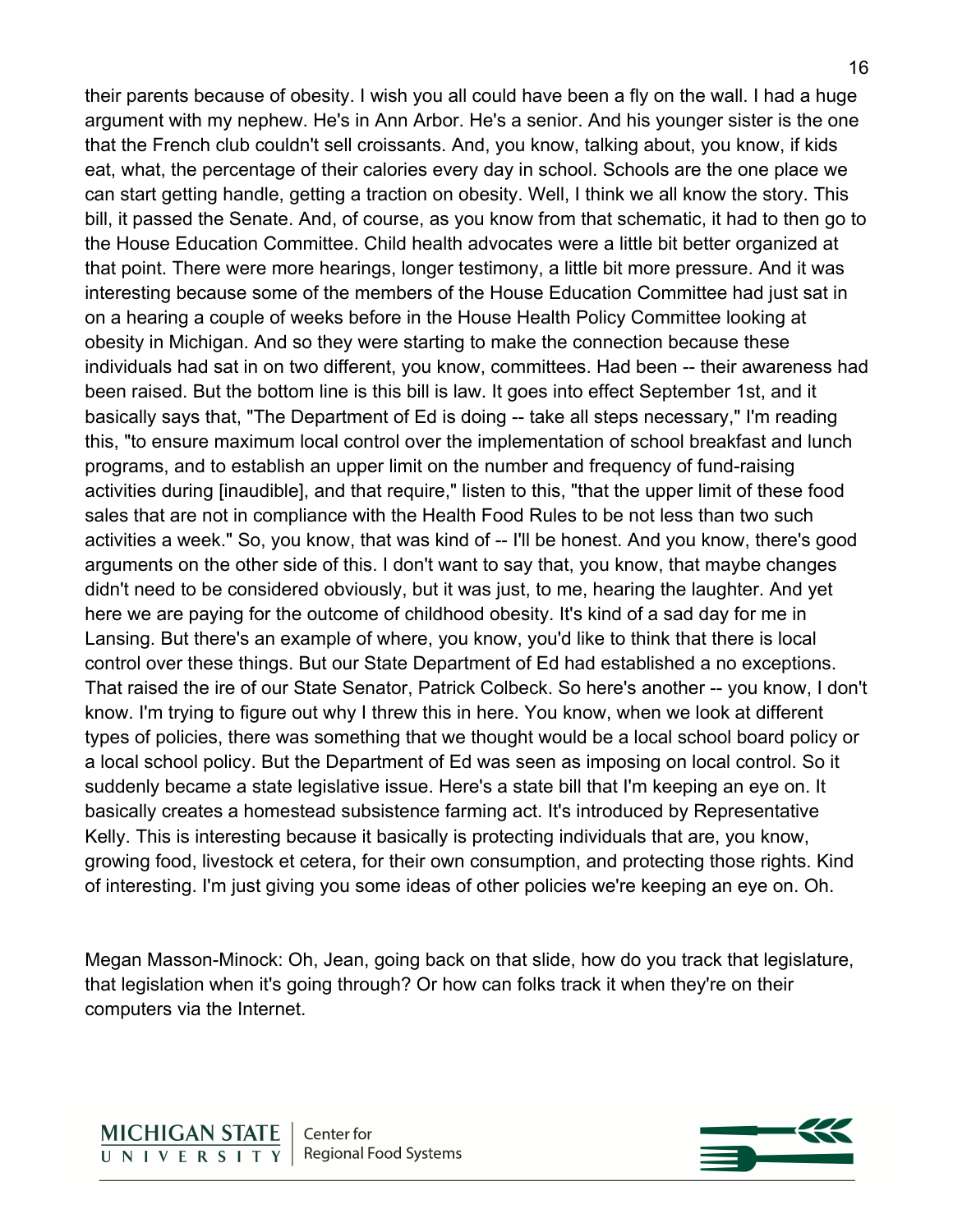their parents because of obesity. I wish you all could have been a fly on the wall. I had a huge argument with my nephew. He's in Ann Arbor. He's a senior. And his younger sister is the one that the French club couldn't sell croissants. And, you know, talking about, you know, if kids eat, what, the percentage of their calories every day in school. Schools are the one place we can start getting handle, getting a traction on obesity. Well, I think we all know the story. This bill, it passed the Senate. And, of course, as you know from that schematic, it had to then go to the House Education Committee. Child health advocates were a little bit better organized at that point. There were more hearings, longer testimony, a little bit more pressure. And it was interesting because some of the members of the House Education Committee had just sat in on a hearing a couple of weeks before in the House Health Policy Committee looking at obesity in Michigan. And so they were starting to make the connection because these individuals had sat in on two different, you know, committees. Had been -- their awareness had been raised. But the bottom line is this bill is law. It goes into effect September 1st, and it basically says that, "The Department of Ed is doing -- take all steps necessary," I'm reading this, "to ensure maximum local control over the implementation of school breakfast and lunch programs, and to establish an upper limit on the number and frequency of fund-raising activities during [inaudible], and that require," listen to this, "that the upper limit of these food sales that are not in compliance with the Health Food Rules to be not less than two such activities a week." So, you know, that was kind of -- I'll be honest. And you know, there's good arguments on the other side of this. I don't want to say that, you know, that maybe changes didn't need to be considered obviously, but it was just, to me, hearing the laughter. And yet here we are paying for the outcome of childhood obesity. It's kind of a sad day for me in Lansing. But there's an example of where, you know, you'd like to think that there is local control over these things. But our State Department of Ed had established a no exceptions. That raised the ire of our State Senator, Patrick Colbeck. So here's another -- you know, I don't know. I'm trying to figure out why I threw this in here. You know, when we look at different types of policies, there was something that we thought would be a local school board policy or a local school policy. But the Department of Ed was seen as imposing on local control. So it suddenly became a state legislative issue. Here's a state bill that I'm keeping an eye on. It basically creates a homestead subsistence farming act. It's introduced by Representative Kelly. This is interesting because it basically is protecting individuals that are, you know, growing food, livestock et cetera, for their own consumption, and protecting those rights. Kind of interesting. I'm just giving you some ideas of other policies we're keeping an eye on. Oh.

Megan Masson-Minock: Oh, Jean, going back on that slide, how do you track that legislature, that legislation when it's going through? Or how can folks track it when they're on their computers via the Internet.

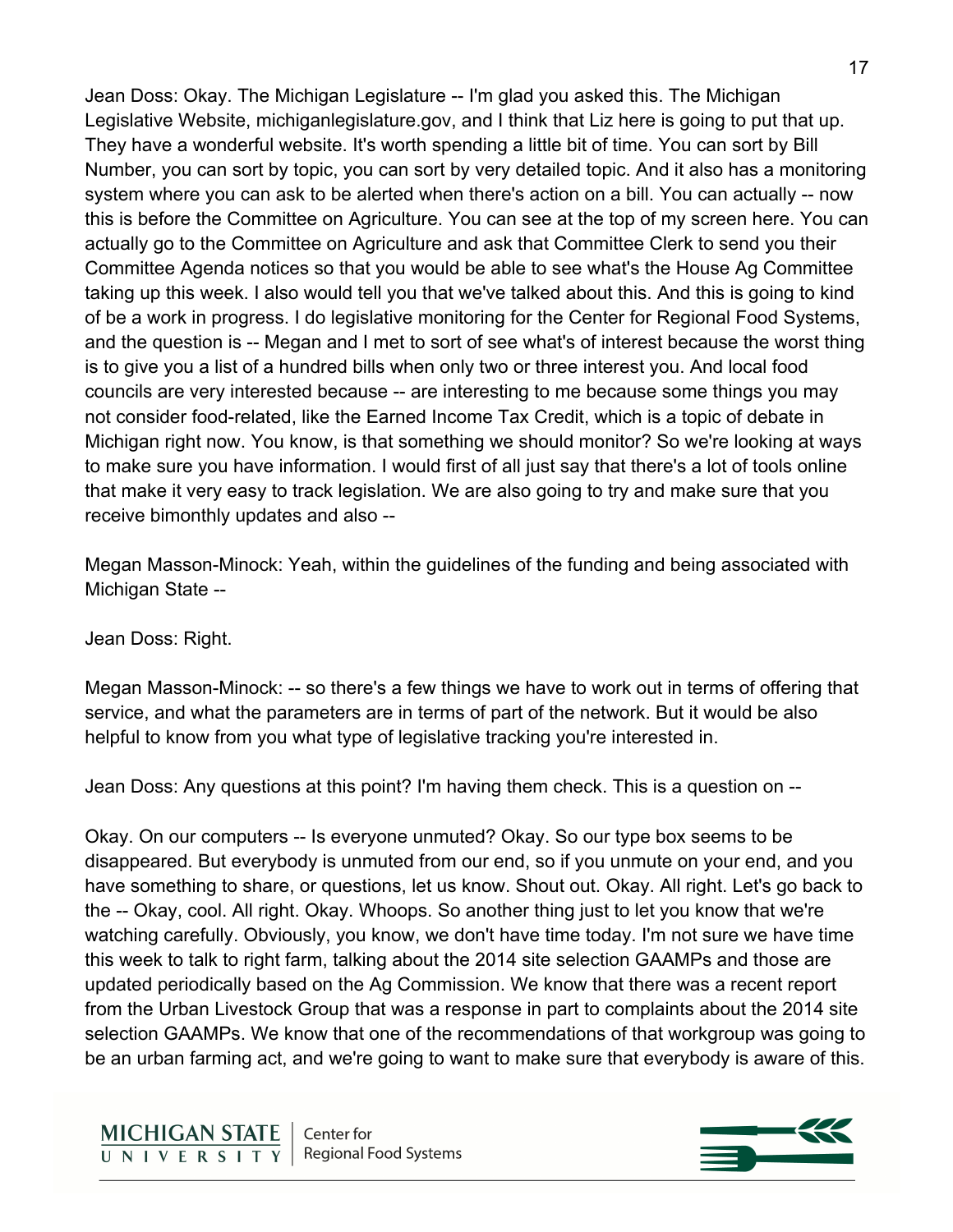Jean Doss: Okay. The Michigan Legislature -- I'm glad you asked this. The Michigan Legislative Website, michiganlegislature.gov, and I think that Liz here is going to put that up. They have a wonderful website. It's worth spending a little bit of time. You can sort by Bill Number, you can sort by topic, you can sort by very detailed topic. And it also has a monitoring system where you can ask to be alerted when there's action on a bill. You can actually -- now this is before the Committee on Agriculture. You can see at the top of my screen here. You can actually go to the Committee on Agriculture and ask that Committee Clerk to send you their Committee Agenda notices so that you would be able to see what's the House Ag Committee taking up this week. I also would tell you that we've talked about this. And this is going to kind of be a work in progress. I do legislative monitoring for the Center for Regional Food Systems, and the question is -- Megan and I met to sort of see what's of interest because the worst thing is to give you a list of a hundred bills when only two or three interest you. And local food councils are very interested because -- are interesting to me because some things you may not consider food-related, like the Earned Income Tax Credit, which is a topic of debate in Michigan right now. You know, is that something we should monitor? So we're looking at ways to make sure you have information. I would first of all just say that there's a lot of tools online that make it very easy to track legislation. We are also going to try and make sure that you receive bimonthly updates and also --

Megan Masson-Minock: Yeah, within the guidelines of the funding and being associated with Michigan State --

Jean Doss: Right.

Megan Masson-Minock: -- so there's a few things we have to work out in terms of offering that service, and what the parameters are in terms of part of the network. But it would be also helpful to know from you what type of legislative tracking you're interested in.

Jean Doss: Any questions at this point? I'm having them check. This is a question on --

Okay. On our computers -- Is everyone unmuted? Okay. So our type box seems to be disappeared. But everybody is unmuted from our end, so if you unmute on your end, and you have something to share, or questions, let us know. Shout out. Okay. All right. Let's go back to the -- Okay, cool. All right. Okay. Whoops. So another thing just to let you know that we're watching carefully. Obviously, you know, we don't have time today. I'm not sure we have time this week to talk to right farm, talking about the 2014 site selection GAAMPs and those are updated periodically based on the Ag Commission. We know that there was a recent report from the Urban Livestock Group that was a response in part to complaints about the 2014 site selection GAAMPs. We know that one of the recommendations of that workgroup was going to be an urban farming act, and we're going to want to make sure that everybody is aware of this.

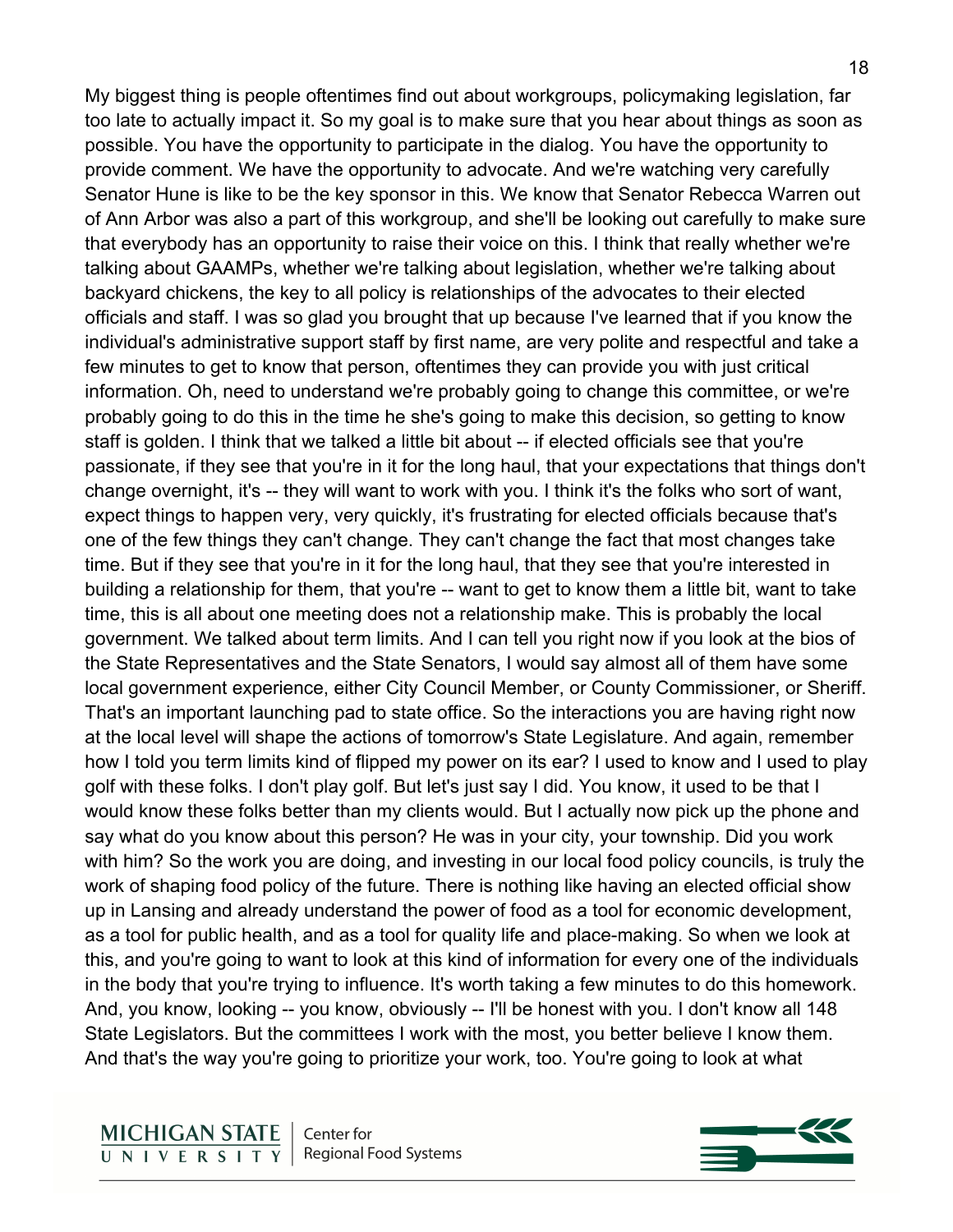My biggest thing is people oftentimes find out about workgroups, policymaking legislation, far too late to actually impact it. So my goal is to make sure that you hear about things as soon as possible. You have the opportunity to participate in the dialog. You have the opportunity to provide comment. We have the opportunity to advocate. And we're watching very carefully Senator Hune is like to be the key sponsor in this. We know that Senator Rebecca Warren out of Ann Arbor was also a part of this workgroup, and she'll be looking out carefully to make sure that everybody has an opportunity to raise their voice on this. I think that really whether we're talking about GAAMPs, whether we're talking about legislation, whether we're talking about backyard chickens, the key to all policy is relationships of the advocates to their elected officials and staff. I was so glad you brought that up because I've learned that if you know the individual's administrative support staff by first name, are very polite and respectful and take a few minutes to get to know that person, oftentimes they can provide you with just critical information. Oh, need to understand we're probably going to change this committee, or we're probably going to do this in the time he she's going to make this decision, so getting to know staff is golden. I think that we talked a little bit about -- if elected officials see that you're passionate, if they see that you're in it for the long haul, that your expectations that things don't change overnight, it's -- they will want to work with you. I think it's the folks who sort of want, expect things to happen very, very quickly, it's frustrating for elected officials because that's one of the few things they can't change. They can't change the fact that most changes take time. But if they see that you're in it for the long haul, that they see that you're interested in building a relationship for them, that you're -- want to get to know them a little bit, want to take time, this is all about one meeting does not a relationship make. This is probably the local government. We talked about term limits. And I can tell you right now if you look at the bios of the State Representatives and the State Senators, I would say almost all of them have some local government experience, either City Council Member, or County Commissioner, or Sheriff. That's an important launching pad to state office. So the interactions you are having right now at the local level will shape the actions of tomorrow's State Legislature. And again, remember how I told you term limits kind of flipped my power on its ear? I used to know and I used to play golf with these folks. I don't play golf. But let's just say I did. You know, it used to be that I would know these folks better than my clients would. But I actually now pick up the phone and say what do you know about this person? He was in your city, your township. Did you work with him? So the work you are doing, and investing in our local food policy councils, is truly the work of shaping food policy of the future. There is nothing like having an elected official show up in Lansing and already understand the power of food as a tool for economic development, as a tool for public health, and as a tool for quality life and place-making. So when we look at this, and you're going to want to look at this kind of information for every one of the individuals in the body that you're trying to influence. It's worth taking a few minutes to do this homework. And, you know, looking -- you know, obviously -- I'll be honest with you. I don't know all 148 State Legislators. But the committees I work with the most, you better believe I know them. And that's the way you're going to prioritize your work, too. You're going to look at what

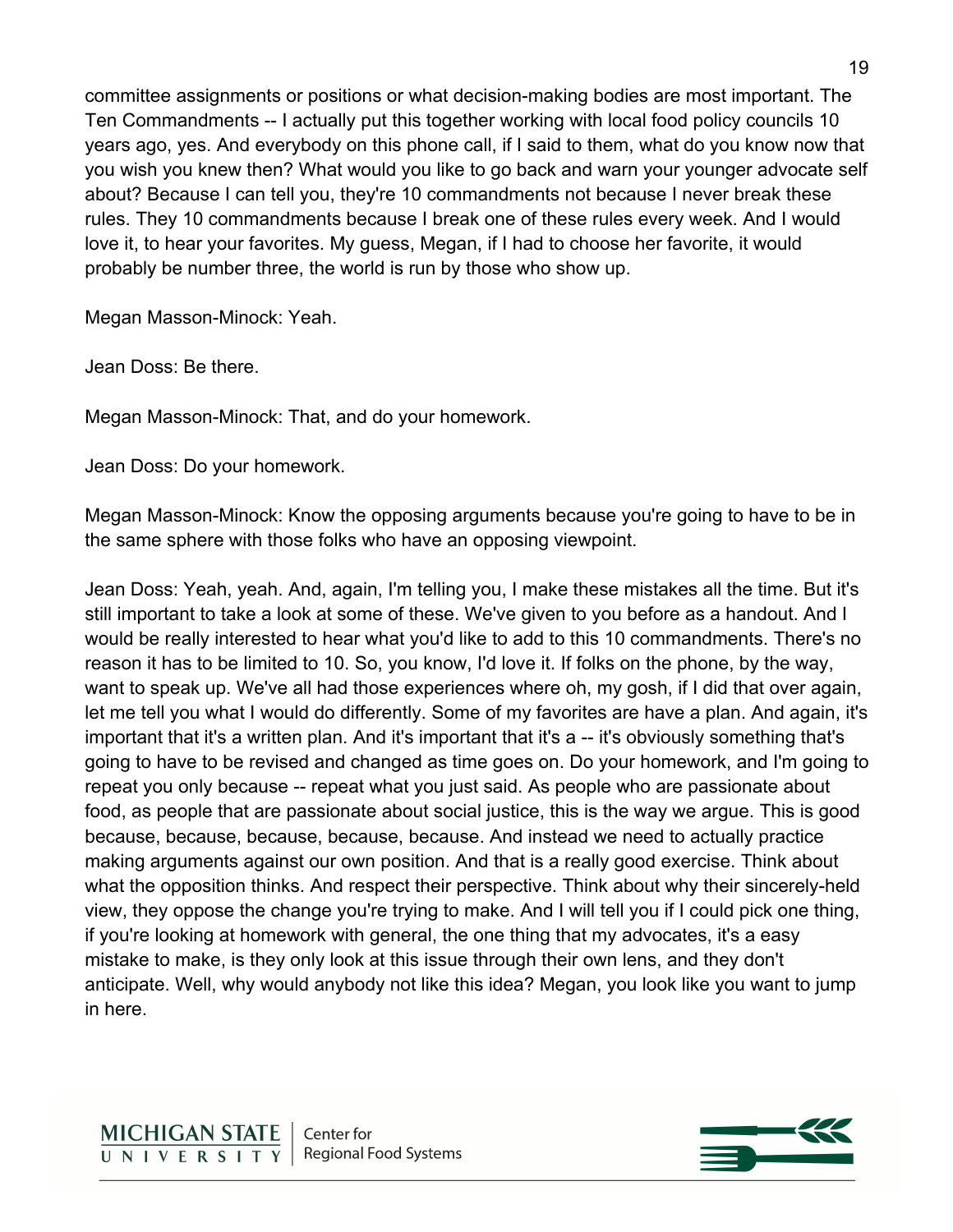committee assignments or positions or what decision-making bodies are most important. The Ten Commandments -- I actually put this together working with local food policy councils 10 years ago, yes. And everybody on this phone call, if I said to them, what do you know now that you wish you knew then? What would you like to go back and warn your younger advocate self about? Because I can tell you, they're 10 commandments not because I never break these rules. They 10 commandments because I break one of these rules every week. And I would love it, to hear your favorites. My guess, Megan, if I had to choose her favorite, it would probably be number three, the world is run by those who show up.

Megan Masson-Minock: Yeah.

Jean Doss: Be there.

Megan Masson-Minock: That, and do your homework.

Jean Doss: Do your homework.

Megan Masson-Minock: Know the opposing arguments because you're going to have to be in the same sphere with those folks who have an opposing viewpoint.

Jean Doss: Yeah, yeah. And, again, I'm telling you, I make these mistakes all the time. But it's still important to take a look at some of these. We've given to you before as a handout. And I would be really interested to hear what you'd like to add to this 10 commandments. There's no reason it has to be limited to 10. So, you know, I'd love it. If folks on the phone, by the way, want to speak up. We've all had those experiences where oh, my gosh, if I did that over again, let me tell you what I would do differently. Some of my favorites are have a plan. And again, it's important that it's a written plan. And it's important that it's a -- it's obviously something that's going to have to be revised and changed as time goes on. Do your homework, and I'm going to repeat you only because -- repeat what you just said. As people who are passionate about food, as people that are passionate about social justice, this is the way we argue. This is good because, because, because, because, because. And instead we need to actually practice making arguments against our own position. And that is a really good exercise. Think about what the opposition thinks. And respect their perspective. Think about why their sincerely-held view, they oppose the change you're trying to make. And I will tell you if I could pick one thing, if you're looking at homework with general, the one thing that my advocates, it's a easy mistake to make, is they only look at this issue through their own lens, and they don't anticipate. Well, why would anybody not like this idea? Megan, you look like you want to jump in here.

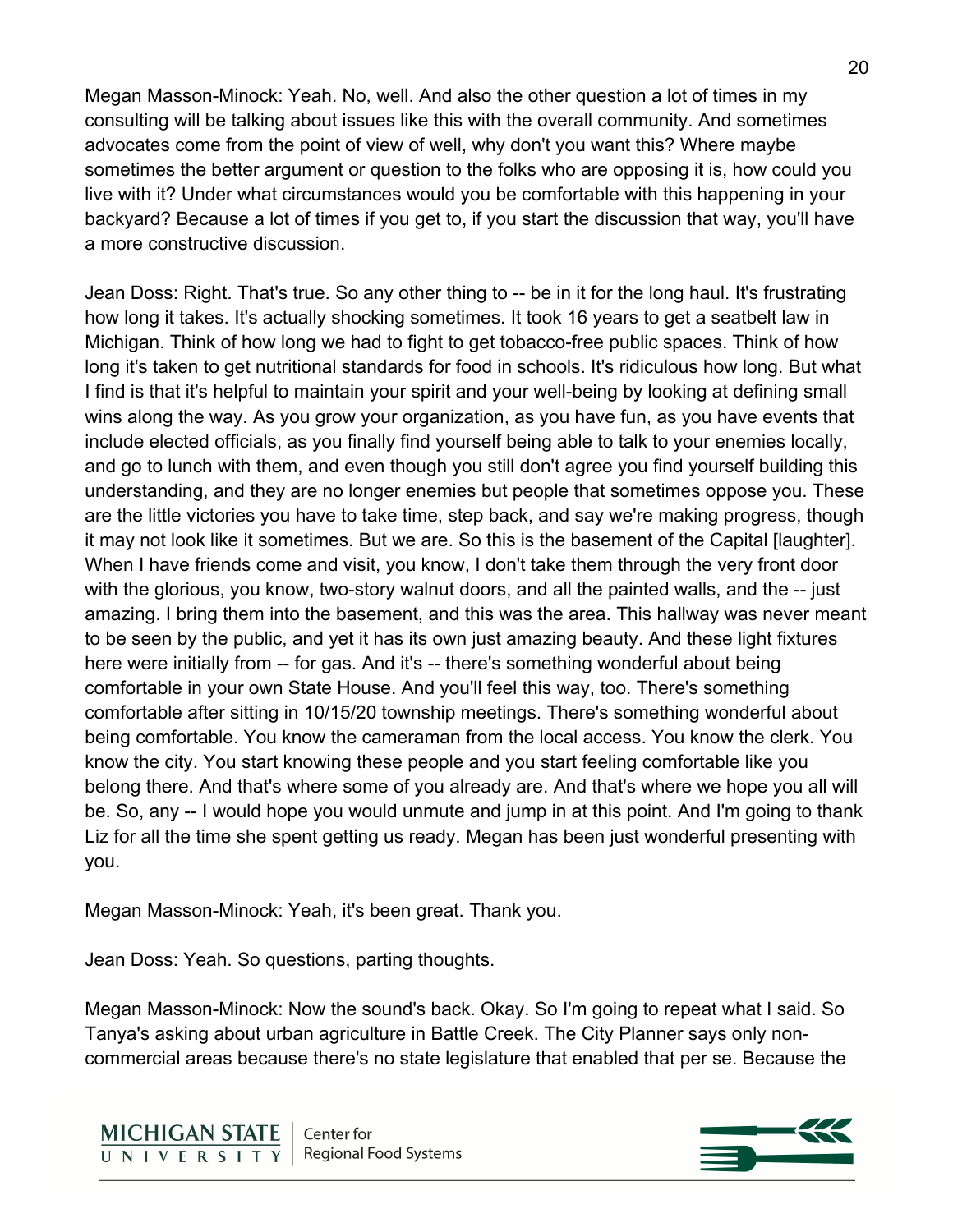Megan Masson-Minock: Yeah. No, well. And also the other question a lot of times in my consulting will be talking about issues like this with the overall community. And sometimes advocates come from the point of view of well, why don't you want this? Where maybe sometimes the better argument or question to the folks who are opposing it is, how could you live with it? Under what circumstances would you be comfortable with this happening in your backyard? Because a lot of times if you get to, if you start the discussion that way, you'll have a more constructive discussion.

Jean Doss: Right. That's true. So any other thing to -- be in it for the long haul. It's frustrating how long it takes. It's actually shocking sometimes. It took 16 years to get a seatbelt law in Michigan. Think of how long we had to fight to get tobacco-free public spaces. Think of how long it's taken to get nutritional standards for food in schools. It's ridiculous how long. But what I find is that it's helpful to maintain your spirit and your well-being by looking at defining small wins along the way. As you grow your organization, as you have fun, as you have events that include elected officials, as you finally find yourself being able to talk to your enemies locally, and go to lunch with them, and even though you still don't agree you find yourself building this understanding, and they are no longer enemies but people that sometimes oppose you. These are the little victories you have to take time, step back, and say we're making progress, though it may not look like it sometimes. But we are. So this is the basement of the Capital [laughter]. When I have friends come and visit, you know, I don't take them through the very front door with the glorious, you know, two-story walnut doors, and all the painted walls, and the -- just amazing. I bring them into the basement, and this was the area. This hallway was never meant to be seen by the public, and yet it has its own just amazing beauty. And these light fixtures here were initially from -- for gas. And it's -- there's something wonderful about being comfortable in your own State House. And you'll feel this way, too. There's something comfortable after sitting in 10/15/20 township meetings. There's something wonderful about being comfortable. You know the cameraman from the local access. You know the clerk. You know the city. You start knowing these people and you start feeling comfortable like you belong there. And that's where some of you already are. And that's where we hope you all will be. So, any -- I would hope you would unmute and jump in at this point. And I'm going to thank Liz for all the time she spent getting us ready. Megan has been just wonderful presenting with you.

Megan Masson-Minock: Yeah, it's been great. Thank you.

Jean Doss: Yeah. So questions, parting thoughts.

Megan Masson-Minock: Now the sound's back. Okay. So I'm going to repeat what I said. So Tanya's asking about urban agriculture in Battle Creek. The City Planner says only noncommercial areas because there's no state legislature that enabled that per se. Because the

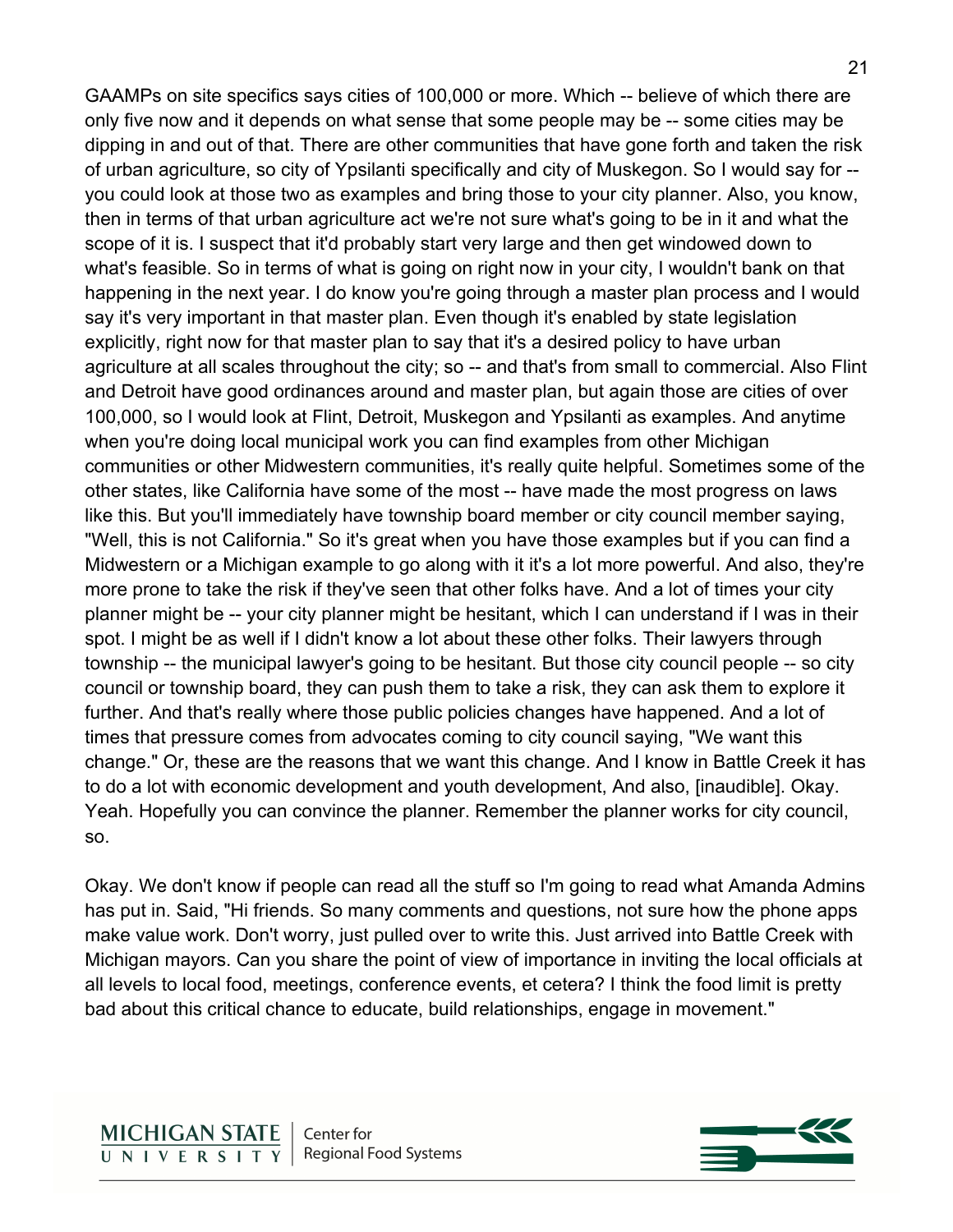GAAMPs on site specifics says cities of 100,000 or more. Which -- believe of which there are only five now and it depends on what sense that some people may be -- some cities may be dipping in and out of that. There are other communities that have gone forth and taken the risk of urban agriculture, so city of Ypsilanti specifically and city of Muskegon. So I would say for - you could look at those two as examples and bring those to your city planner. Also, you know, then in terms of that urban agriculture act we're not sure what's going to be in it and what the scope of it is. I suspect that it'd probably start very large and then get windowed down to what's feasible. So in terms of what is going on right now in your city, I wouldn't bank on that happening in the next year. I do know you're going through a master plan process and I would say it's very important in that master plan. Even though it's enabled by state legislation explicitly, right now for that master plan to say that it's a desired policy to have urban agriculture at all scales throughout the city; so -- and that's from small to commercial. Also Flint and Detroit have good ordinances around and master plan, but again those are cities of over 100,000, so I would look at Flint, Detroit, Muskegon and Ypsilanti as examples. And anytime when you're doing local municipal work you can find examples from other Michigan communities or other Midwestern communities, it's really quite helpful. Sometimes some of the other states, like California have some of the most -- have made the most progress on laws like this. But you'll immediately have township board member or city council member saying, "Well, this is not California." So it's great when you have those examples but if you can find a Midwestern or a Michigan example to go along with it it's a lot more powerful. And also, they're more prone to take the risk if they've seen that other folks have. And a lot of times your city planner might be -- your city planner might be hesitant, which I can understand if I was in their spot. I might be as well if I didn't know a lot about these other folks. Their lawyers through township -- the municipal lawyer's going to be hesitant. But those city council people -- so city council or township board, they can push them to take a risk, they can ask them to explore it further. And that's really where those public policies changes have happened. And a lot of times that pressure comes from advocates coming to city council saying, "We want this change." Or, these are the reasons that we want this change. And I know in Battle Creek it has to do a lot with economic development and youth development, And also, [inaudible]. Okay. Yeah. Hopefully you can convince the planner. Remember the planner works for city council, so.

Okay. We don't know if people can read all the stuff so I'm going to read what Amanda Admins has put in. Said, "Hi friends. So many comments and questions, not sure how the phone apps make value work. Don't worry, just pulled over to write this. Just arrived into Battle Creek with Michigan mayors. Can you share the point of view of importance in inviting the local officials at all levels to local food, meetings, conference events, et cetera? I think the food limit is pretty bad about this critical chance to educate, build relationships, engage in movement."

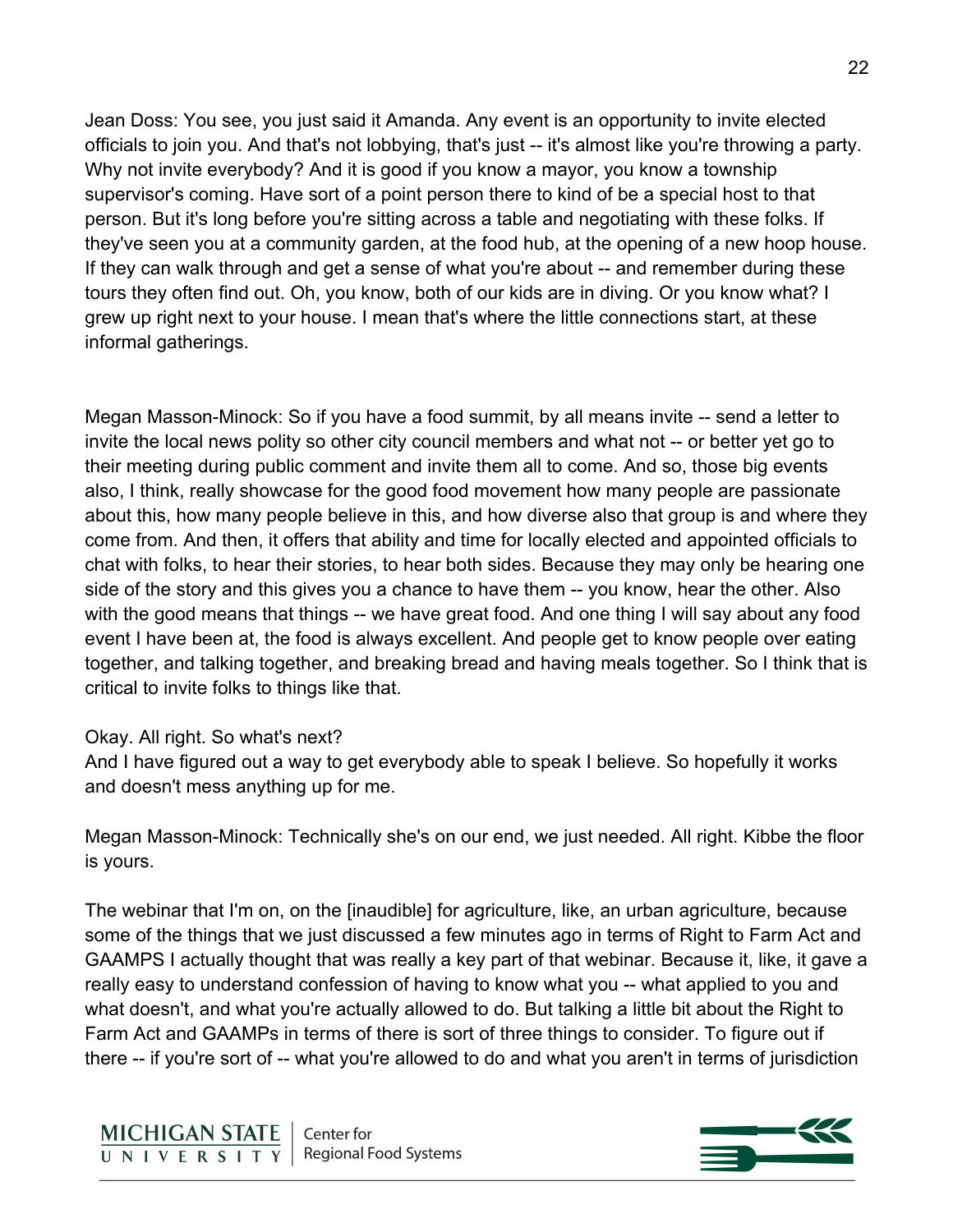Jean Doss: You see, you just said it Amanda. Any event is an opportunity to invite elected officials to join you. And that's not lobbying, that's just -- it's almost like you're throwing a party. Why not invite everybody? And it is good if you know a mayor, you know a township supervisor's coming. Have sort of a point person there to kind of be a special host to that person. But it's long before you're sitting across a table and negotiating with these folks. If they've seen you at a community garden, at the food hub, at the opening of a new hoop house. If they can walk through and get a sense of what you're about -- and remember during these tours they often find out. Oh, you know, both of our kids are in diving. Or you know what? I grew up right next to your house. I mean that's where the little connections start, at these informal gatherings.

Megan Masson-Minock: So if you have a food summit, by all means invite -- send a letter to invite the local news polity so other city council members and what not -- or better yet go to their meeting during public comment and invite them all to come. And so, those big events also, I think, really showcase for the good food movement how many people are passionate about this, how many people believe in this, and how diverse also that group is and where they come from. And then, it offers that ability and time for locally elected and appointed officials to chat with folks, to hear their stories, to hear both sides. Because they may only be hearing one side of the story and this gives you a chance to have them -- you know, hear the other. Also with the good means that things -- we have great food. And one thing I will say about any food event I have been at, the food is always excellent. And people get to know people over eating together, and talking together, and breaking bread and having meals together. So I think that is critical to invite folks to things like that.

### Okay. All right. So what's next?

And I have figured out a way to get everybody able to speak I believe. So hopefully it works and doesn't mess anything up for me.

Megan Masson-Minock: Technically she's on our end, we just needed. All right. Kibbe the floor is yours.

The webinar that I'm on, on the [inaudible] for agriculture, like, an urban agriculture, because some of the things that we just discussed a few minutes ago in terms of Right to Farm Act and GAAMPS I actually thought that was really a key part of that webinar. Because it, like, it gave a really easy to understand confession of having to know what you -- what applied to you and what doesn't, and what you're actually allowed to do. But talking a little bit about the Right to Farm Act and GAAMPs in terms of there is sort of three things to consider. To figure out if there -- if you're sort of -- what you're allowed to do and what you aren't in terms of jurisdiction

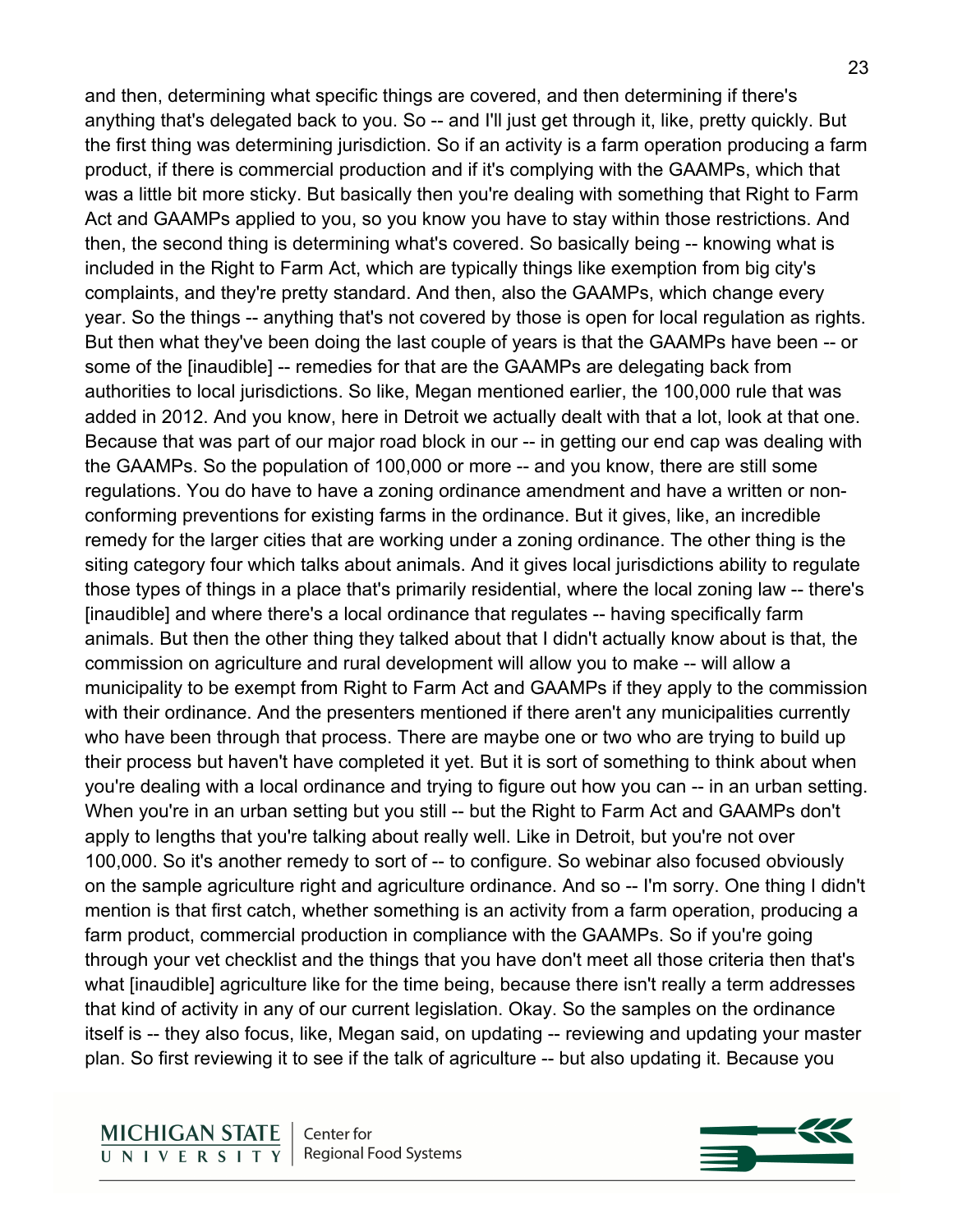and then, determining what specific things are covered, and then determining if there's anything that's delegated back to you. So -- and I'll just get through it, like, pretty quickly. But the first thing was determining jurisdiction. So if an activity is a farm operation producing a farm product, if there is commercial production and if it's complying with the GAAMPs, which that was a little bit more sticky. But basically then you're dealing with something that Right to Farm Act and GAAMPs applied to you, so you know you have to stay within those restrictions. And then, the second thing is determining what's covered. So basically being -- knowing what is included in the Right to Farm Act, which are typically things like exemption from big city's complaints, and they're pretty standard. And then, also the GAAMPs, which change every year. So the things -- anything that's not covered by those is open for local regulation as rights. But then what they've been doing the last couple of years is that the GAAMPs have been -- or some of the [inaudible] -- remedies for that are the GAAMPs are delegating back from authorities to local jurisdictions. So like, Megan mentioned earlier, the 100,000 rule that was added in 2012. And you know, here in Detroit we actually dealt with that a lot, look at that one. Because that was part of our major road block in our -- in getting our end cap was dealing with the GAAMPs. So the population of 100,000 or more -- and you know, there are still some regulations. You do have to have a zoning ordinance amendment and have a written or nonconforming preventions for existing farms in the ordinance. But it gives, like, an incredible remedy for the larger cities that are working under a zoning ordinance. The other thing is the siting category four which talks about animals. And it gives local jurisdictions ability to regulate those types of things in a place that's primarily residential, where the local zoning law -- there's [inaudible] and where there's a local ordinance that regulates -- having specifically farm animals. But then the other thing they talked about that I didn't actually know about is that, the commission on agriculture and rural development will allow you to make -- will allow a municipality to be exempt from Right to Farm Act and GAAMPs if they apply to the commission with their ordinance. And the presenters mentioned if there aren't any municipalities currently who have been through that process. There are maybe one or two who are trying to build up their process but haven't have completed it yet. But it is sort of something to think about when you're dealing with a local ordinance and trying to figure out how you can -- in an urban setting. When you're in an urban setting but you still -- but the Right to Farm Act and GAAMPs don't apply to lengths that you're talking about really well. Like in Detroit, but you're not over 100,000. So it's another remedy to sort of -- to configure. So webinar also focused obviously on the sample agriculture right and agriculture ordinance. And so -- I'm sorry. One thing I didn't mention is that first catch, whether something is an activity from a farm operation, producing a farm product, commercial production in compliance with the GAAMPs. So if you're going through your vet checklist and the things that you have don't meet all those criteria then that's what [inaudible] agriculture like for the time being, because there isn't really a term addresses that kind of activity in any of our current legislation. Okay. So the samples on the ordinance itself is -- they also focus, like, Megan said, on updating -- reviewing and updating your master plan. So first reviewing it to see if the talk of agriculture -- but also updating it. Because you

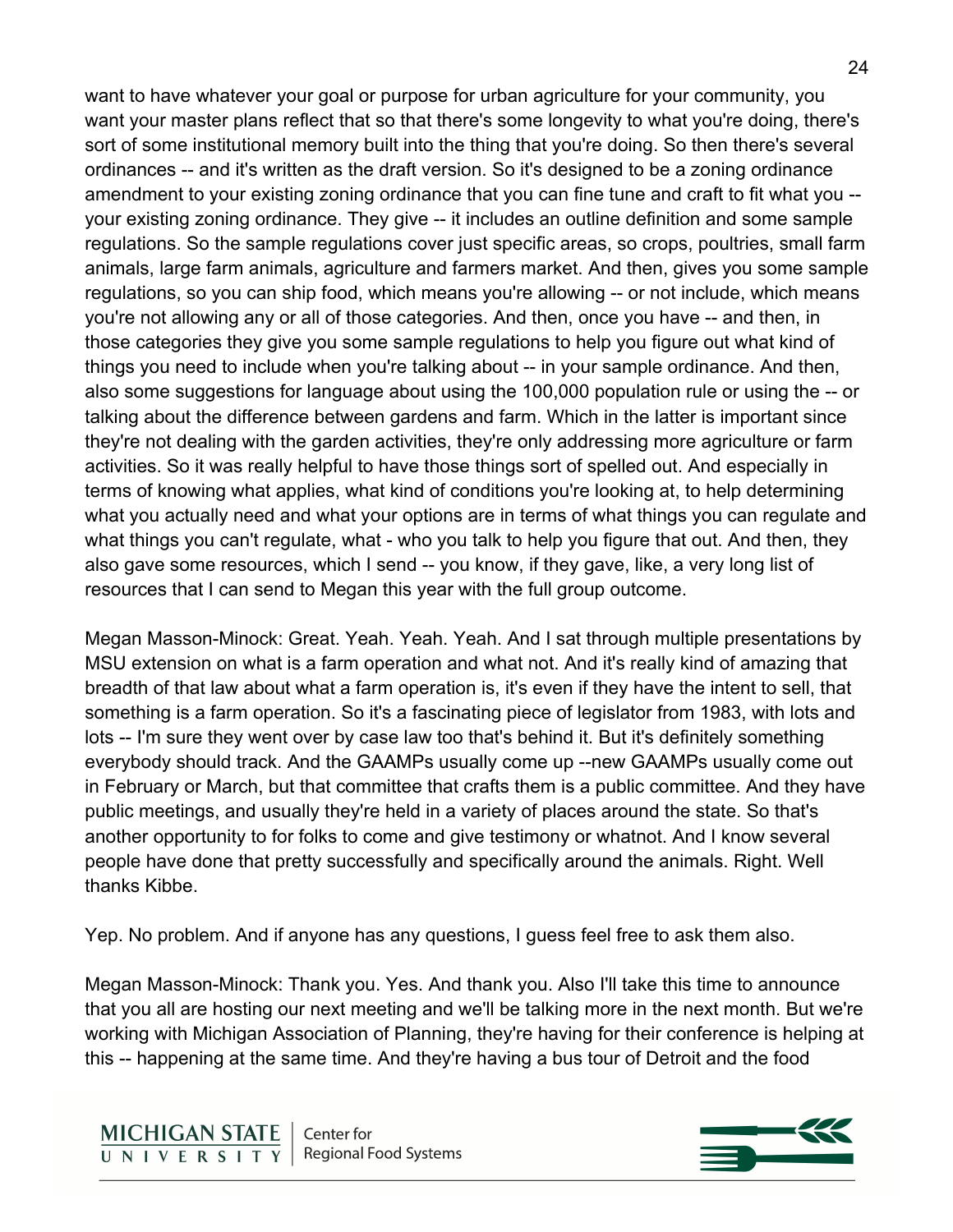want to have whatever your goal or purpose for urban agriculture for your community, you want your master plans reflect that so that there's some longevity to what you're doing, there's sort of some institutional memory built into the thing that you're doing. So then there's several ordinances -- and it's written as the draft version. So it's designed to be a zoning ordinance amendment to your existing zoning ordinance that you can fine tune and craft to fit what you - your existing zoning ordinance. They give -- it includes an outline definition and some sample regulations. So the sample regulations cover just specific areas, so crops, poultries, small farm animals, large farm animals, agriculture and farmers market. And then, gives you some sample regulations, so you can ship food, which means you're allowing -- or not include, which means you're not allowing any or all of those categories. And then, once you have -- and then, in those categories they give you some sample regulations to help you figure out what kind of things you need to include when you're talking about -- in your sample ordinance. And then, also some suggestions for language about using the 100,000 population rule or using the -- or talking about the difference between gardens and farm. Which in the latter is important since they're not dealing with the garden activities, they're only addressing more agriculture or farm activities. So it was really helpful to have those things sort of spelled out. And especially in terms of knowing what applies, what kind of conditions you're looking at, to help determining what you actually need and what your options are in terms of what things you can regulate and what things you can't regulate, what - who you talk to help you figure that out. And then, they also gave some resources, which I send -- you know, if they gave, like, a very long list of resources that I can send to Megan this year with the full group outcome.

Megan Masson-Minock: Great. Yeah. Yeah. Yeah. And I sat through multiple presentations by MSU extension on what is a farm operation and what not. And it's really kind of amazing that breadth of that law about what a farm operation is, it's even if they have the intent to sell, that something is a farm operation. So it's a fascinating piece of legislator from 1983, with lots and lots -- I'm sure they went over by case law too that's behind it. But it's definitely something everybody should track. And the GAAMPs usually come up --new GAAMPs usually come out in February or March, but that committee that crafts them is a public committee. And they have public meetings, and usually they're held in a variety of places around the state. So that's another opportunity to for folks to come and give testimony or whatnot. And I know several people have done that pretty successfully and specifically around the animals. Right. Well thanks Kibbe.

Yep. No problem. And if anyone has any questions, I guess feel free to ask them also.

Megan Masson-Minock: Thank you. Yes. And thank you. Also I'll take this time to announce that you all are hosting our next meeting and we'll be talking more in the next month. But we're working with Michigan Association of Planning, they're having for their conference is helping at this -- happening at the same time. And they're having a bus tour of Detroit and the food